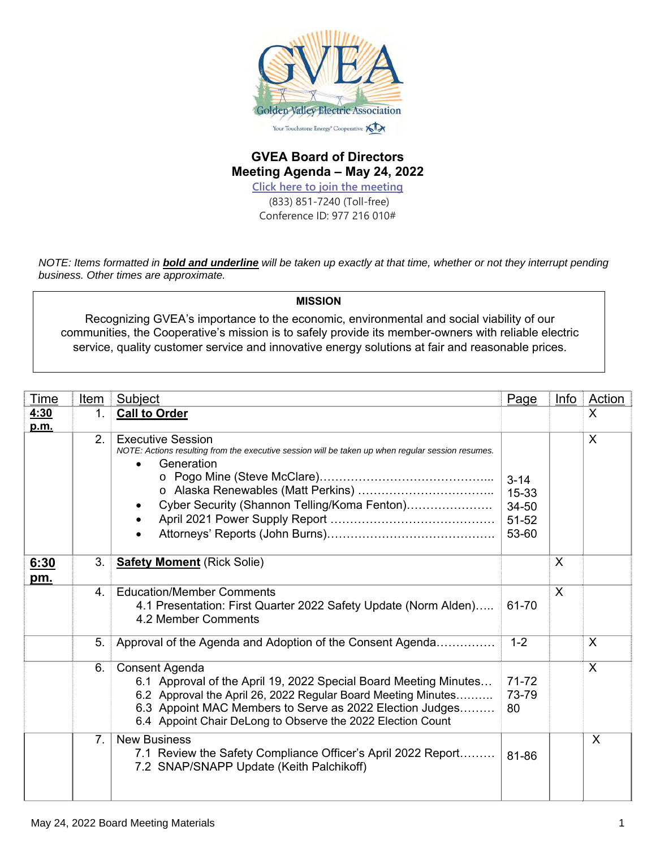

#### **GVEA Board of Directors Meeting Agenda – May 24, 2022**

**Click here to join the meeting** (833) 851-7240 (Toll-free) Conference ID: 977 216 010#

*NOTE: Items formatted in bold and underline will be taken up exactly at that time, whether or not they interrupt pending business. Other times are approximate.* 

**MISSION** 

Recognizing GVEA's importance to the economic, environmental and social viability of our communities, the Cooperative's mission is to safely provide its member-owners with reliable electric service, quality customer service and innovative energy solutions at fair and reasonable prices.

| Time         | Item           | Subject                                                                                                                                                                                                                                                                        | Page                                         | <b>Info</b> | <b>Action</b> |
|--------------|----------------|--------------------------------------------------------------------------------------------------------------------------------------------------------------------------------------------------------------------------------------------------------------------------------|----------------------------------------------|-------------|---------------|
| 4:30<br>p.m. | 1.             | <b>Call to Order</b>                                                                                                                                                                                                                                                           |                                              |             | X             |
|              | 2.             | <b>Executive Session</b><br>NOTE: Actions resulting from the executive session will be taken up when regular session resumes.<br>Generation<br>Cyber Security (Shannon Telling/Koma Fenton)                                                                                    | $3 - 14$<br>15-33<br>34-50<br>51-52<br>53-60 |             | X             |
| 6:30<br>pm.  | 3.             | <b>Safety Moment (Rick Solie)</b>                                                                                                                                                                                                                                              |                                              | X           |               |
|              | $4_{-}$        | <b>Education/Member Comments</b><br>4.1 Presentation: First Quarter 2022 Safety Update (Norm Alden)<br>4.2 Member Comments                                                                                                                                                     | 61-70                                        | X           |               |
|              | 5.             | Approval of the Agenda and Adoption of the Consent Agenda                                                                                                                                                                                                                      | $1 - 2$                                      |             | X             |
|              | 6.             | Consent Agenda<br>6.1 Approval of the April 19, 2022 Special Board Meeting Minutes<br>6.2 Approval the April 26, 2022 Regular Board Meeting Minutes<br>6.3 Appoint MAC Members to Serve as 2022 Election Judges<br>6.4 Appoint Chair DeLong to Observe the 2022 Election Count | $71 - 72$<br>73-79<br>80                     |             | X             |
|              | 7 <sub>1</sub> | <b>New Business</b><br>7.1 Review the Safety Compliance Officer's April 2022 Report<br>7.2 SNAP/SNAPP Update (Keith Palchikoff)                                                                                                                                                | 81-86                                        |             | X             |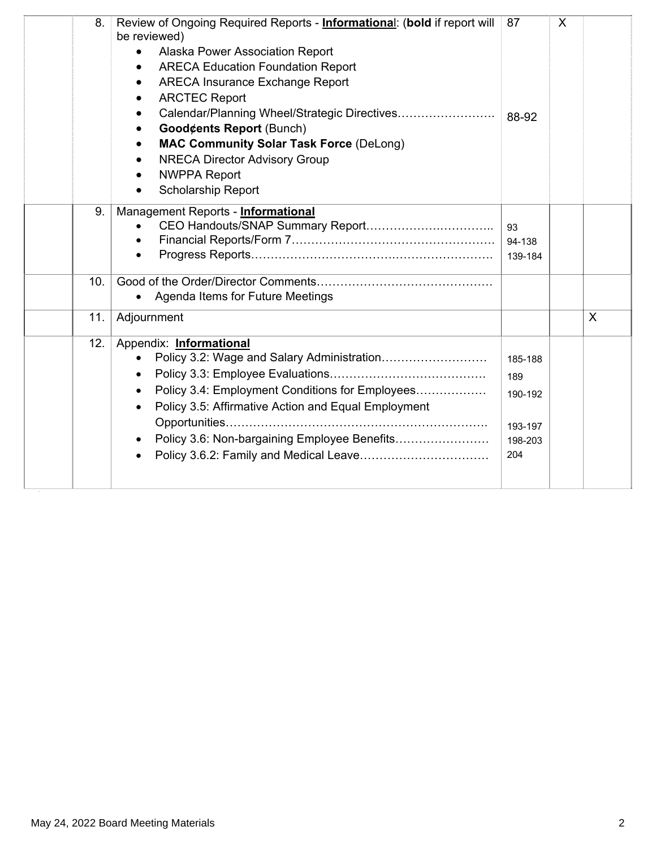| 8.  | Review of Ongoing Required Reports - <b>Informational:</b> (bold if report will<br>be reviewed)<br>Alaska Power Association Report<br>$\bullet$<br><b>ARECA Education Foundation Report</b><br>$\bullet$<br><b>ARECA Insurance Exchange Report</b><br><b>ARCTEC Report</b><br><b>Good¢ents Report (Bunch)</b><br><b>MAC Community Solar Task Force (DeLong)</b><br><b>NRECA Director Advisory Group</b><br><b>NWPPA Report</b><br><b>Scholarship Report</b> | 87                                                     | X |   |
|-----|-------------------------------------------------------------------------------------------------------------------------------------------------------------------------------------------------------------------------------------------------------------------------------------------------------------------------------------------------------------------------------------------------------------------------------------------------------------|--------------------------------------------------------|---|---|
| 9.  | Management Reports - Informational                                                                                                                                                                                                                                                                                                                                                                                                                          | 93<br>94-138<br>139-184                                |   |   |
| 10. | Agenda Items for Future Meetings                                                                                                                                                                                                                                                                                                                                                                                                                            |                                                        |   |   |
| 11. | Adjournment                                                                                                                                                                                                                                                                                                                                                                                                                                                 |                                                        |   | X |
| 12. | Appendix: Informational<br>Policy 3.4: Employment Conditions for Employees<br>Policy 3.5: Affirmative Action and Equal Employment<br>Policy 3.6: Non-bargaining Employee Benefits                                                                                                                                                                                                                                                                           | 185-188<br>189<br>190-192<br>193-197<br>198-203<br>204 |   |   |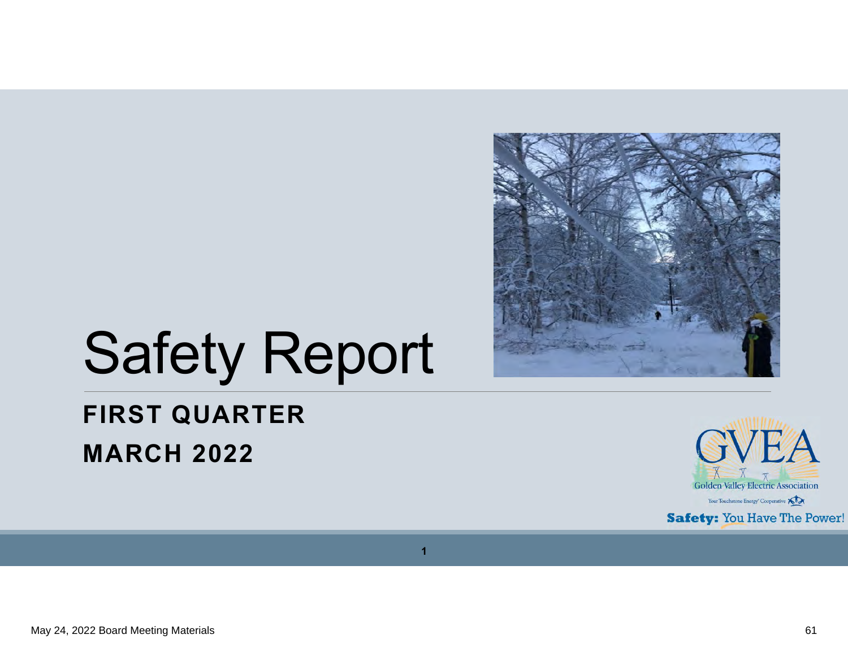

# Safety Report

## **FIRST QUARTER MARCH 2022**



**1**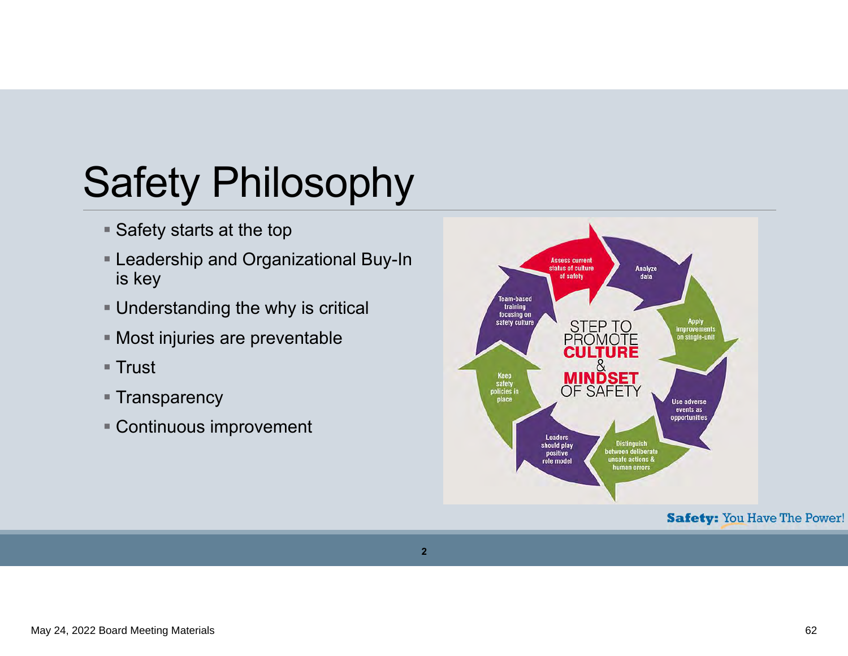# Safety Philosophy

- $\blacksquare$  Safety starts at the top
- Leadership and Organizational Buy-In is key
- Understanding the why is critical
- Most injuries are preventable
- $\blacksquare$  Trust
- Transparency
- Continuous improvement

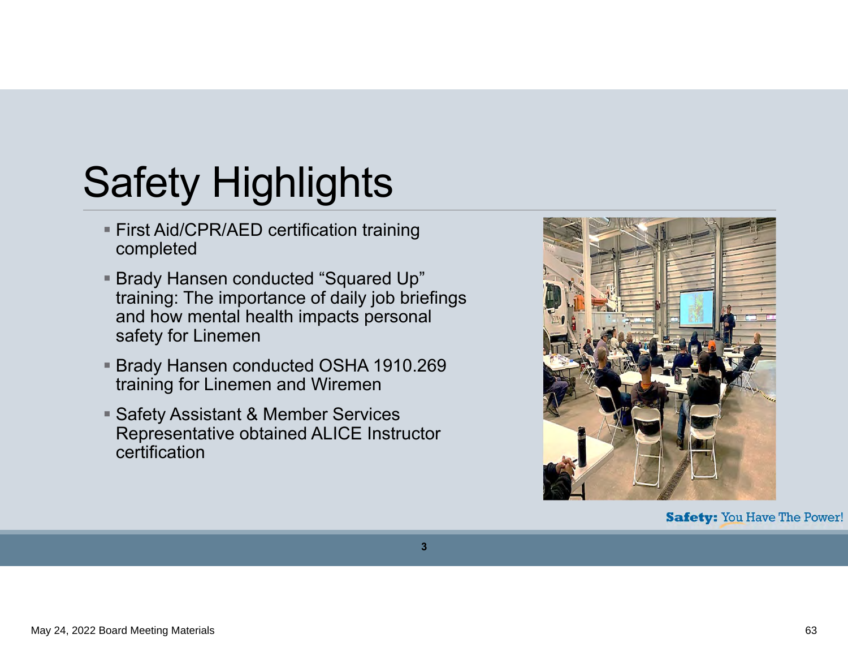# Safety Highlights

- First Aid/CPR/AED certification training completed
- Brady Hansen conducted "Squared Up" training: The importance of daily job briefings and how mental health impacts personal safety for Linemen
- Brady Hansen conducted OSHA 1910.269 training for Linemen and Wiremen
- Safety Assistant & Member Services Representative obtained ALICE Instructor certification

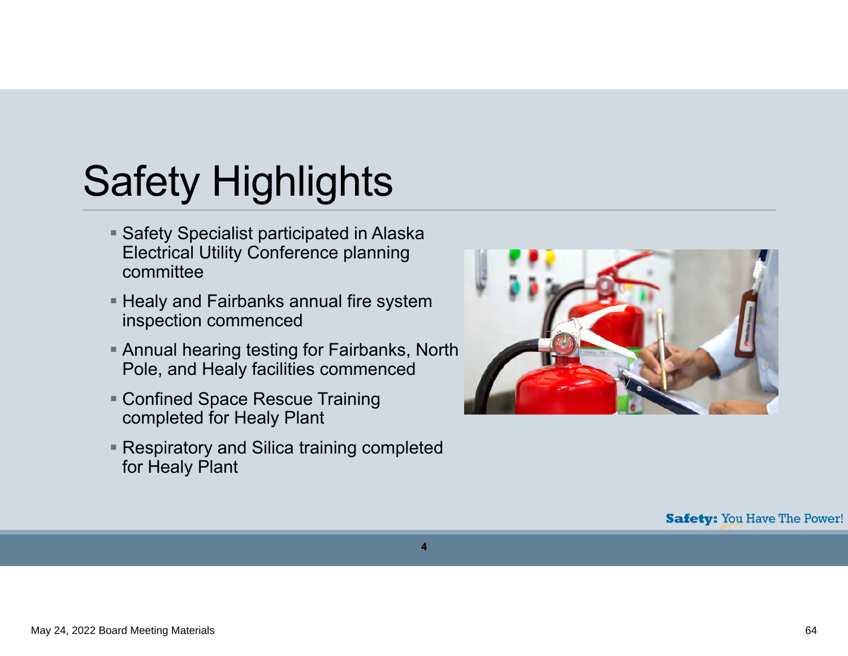# Safety Highlights

- Safety Specialist participated in Alaska Electrical Utility Conference planning committee
- $\blacksquare$  Healy and Fairbanks annual fire system inspection commenced
- Annual hearing testing for Fairbanks, North Pole, and Healy facilities commenced
- Confined Space Rescue Training completed for Healy Plant
- Respiratory and Silica training completed for Healy Plant

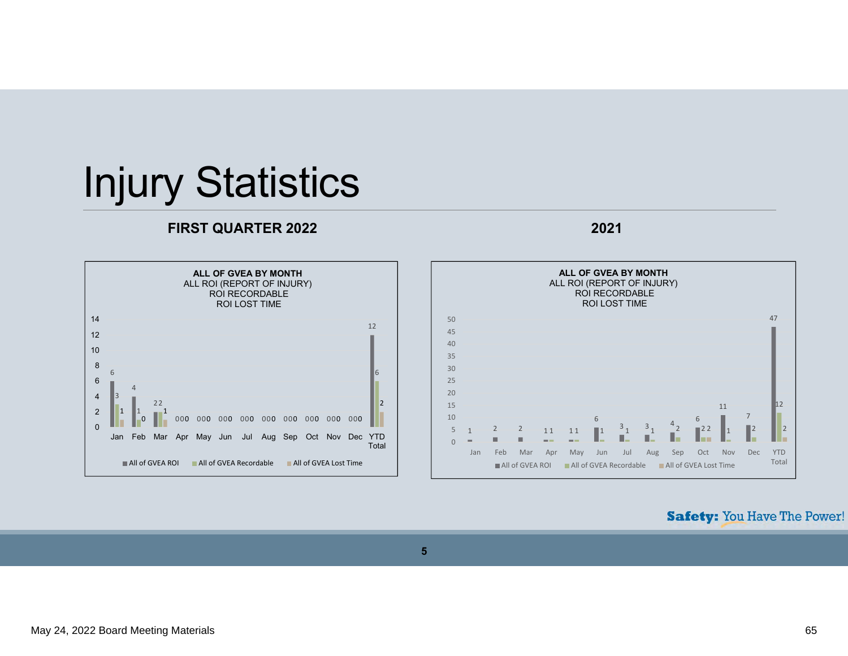## Injury Statistics

## **FIRST QUARTER 2022 2021**





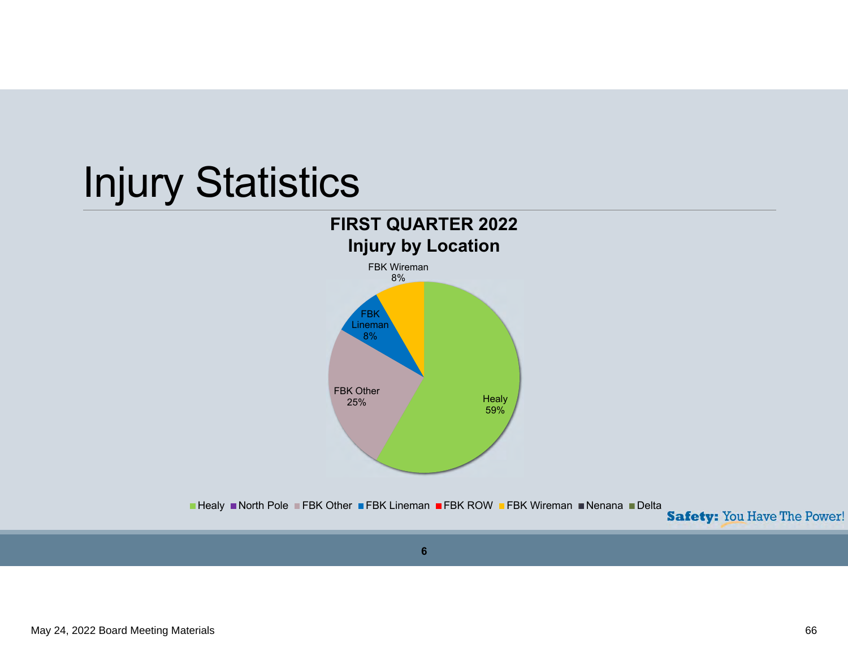## Injury Statistics FBK Lineman 8%FBK Wireman 8%**Injury by Location FIRST QUARTER 2022**





**6**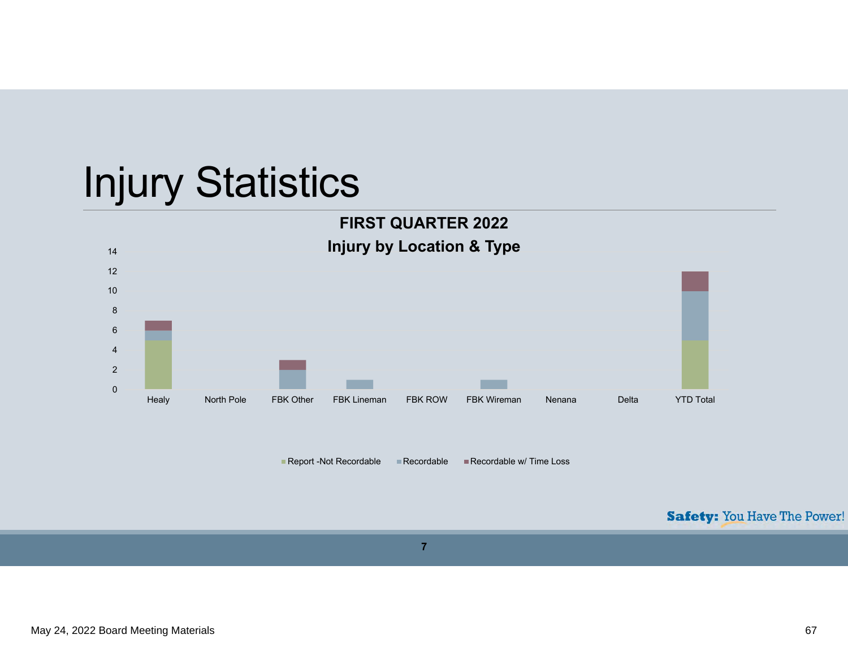## Injury Statistics



Report -Not Recordable Recordable Recordable W Time Loss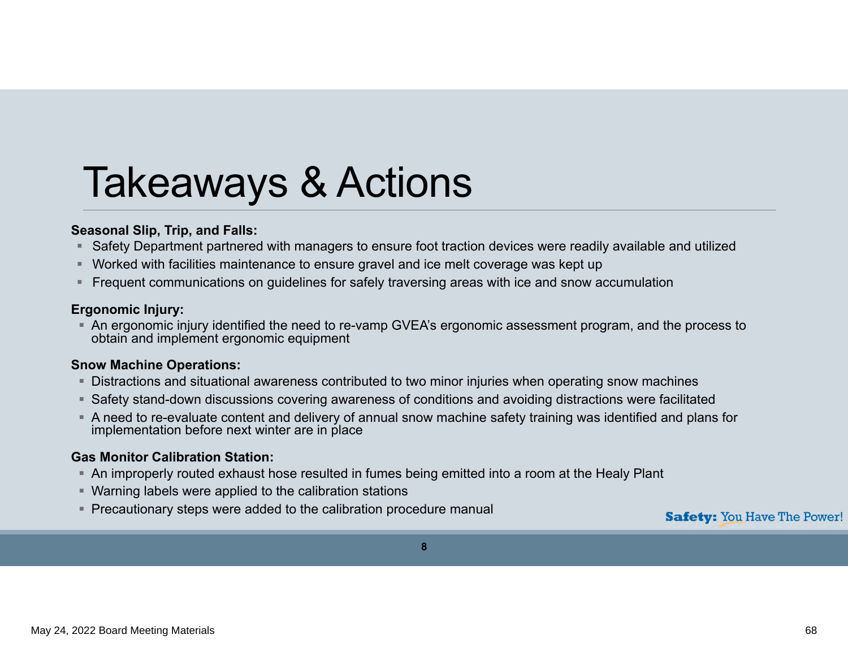## Takeaways & Actions

### **Seasonal Slip, Trip, and Falls:**

- Safety Department partnered with managers to ensure foot traction devices were readily available and utilized
- Worked with facilities maintenance to ensure gravel and ice melt coverage was kept up
- $\;\;\bar{}\;$  Frequent communications on guidelines for safely traversing areas with ice and snow accumulation

#### **Ergonomic Injury:**

 An ergonomic injury identified the need to re-vamp GVEA's ergonomic assessment program, and the process to obtain and implement ergonomic equipment

#### **Snow Machine Operations:**

- $\;\dot{ }$  Distractions and situational awareness contributed to two minor injuries when operating snow machines
- Safety stand-down discussions covering awareness of conditions and avoiding distractions were facilitated
- A need to re-evaluate content and delivery of annual snow machine safety training was identified and plans for implementation before next winter are in place

#### **Gas Monitor Calibration Station:**

- $\hspace{0.1mm}$  An improperly routed exhaust hose resulted in fumes being emitted into a room at the Healy Plant
- Warning labels were applied to the calibration stations
- Precautionary steps were added to the calibration procedure manual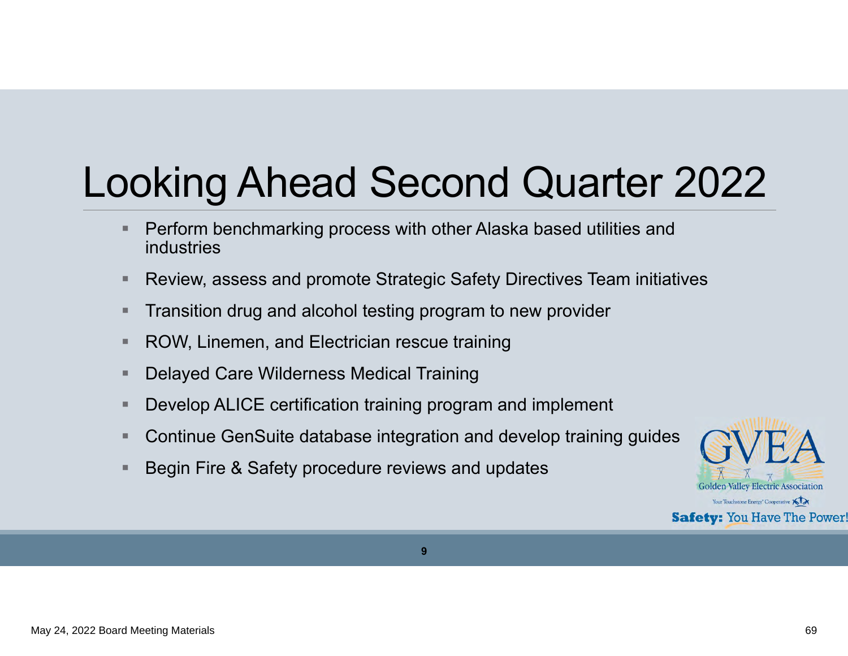# Looking Ahead Second Quarter 2022

- Perform benchmarking process with other Alaska based utilities and industries
- $\blacksquare$ Review, assess and promote Strategic Safety Directives Team initiatives
- ш Transition drug and alcohol testing program to new provider
- $\blacksquare$ ROW, Linemen, and Electrician rescue training
- г Delayed Care Wilderness Medical Training
- ш Develop ALICE certification training program and implement
- Continue GenSuite database integration and develop training guides
- Begin Fire & Safety procedure reviews and updates

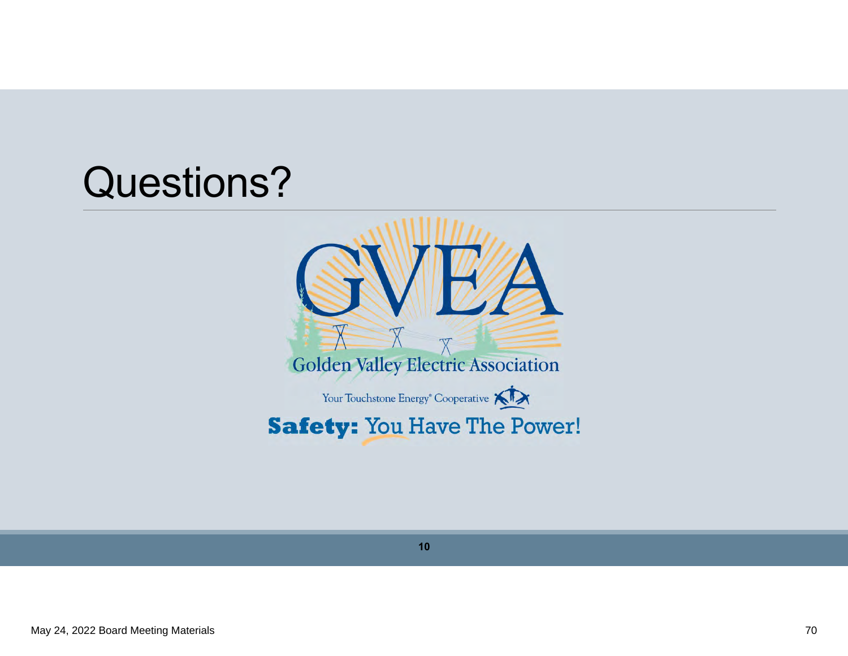## Questions?



**10**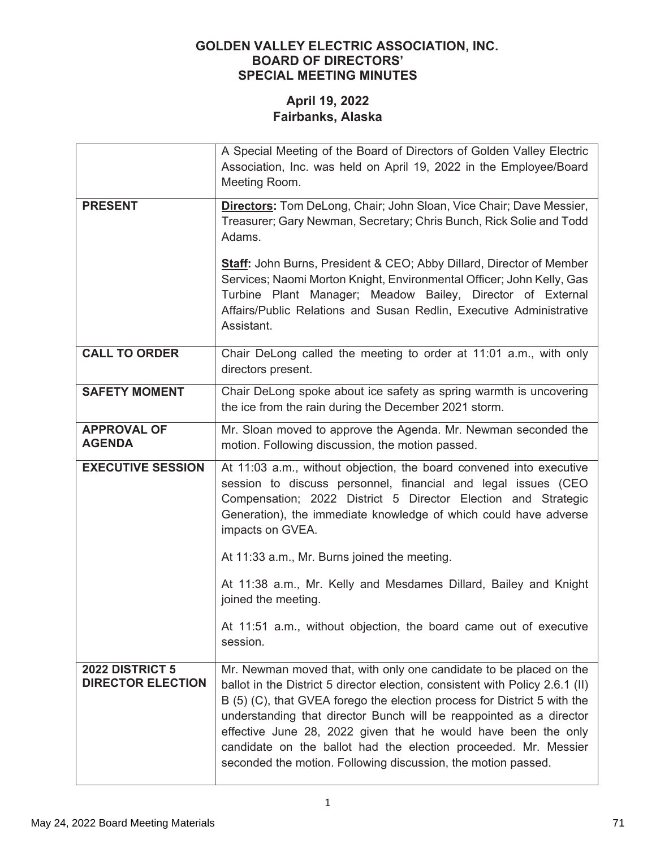|                                                    | A Special Meeting of the Board of Directors of Golden Valley Electric                                                                                                                                                                                                                                                                                                                                                                                                                                        |  |  |  |  |
|----------------------------------------------------|--------------------------------------------------------------------------------------------------------------------------------------------------------------------------------------------------------------------------------------------------------------------------------------------------------------------------------------------------------------------------------------------------------------------------------------------------------------------------------------------------------------|--|--|--|--|
|                                                    | Association, Inc. was held on April 19, 2022 in the Employee/Board                                                                                                                                                                                                                                                                                                                                                                                                                                           |  |  |  |  |
|                                                    | Meeting Room.                                                                                                                                                                                                                                                                                                                                                                                                                                                                                                |  |  |  |  |
| <b>PRESENT</b>                                     | <b>Directors:</b> Tom DeLong, Chair; John Sloan, Vice Chair; Dave Messier,<br>Treasurer; Gary Newman, Secretary; Chris Bunch, Rick Solie and Todd<br>Adams.                                                                                                                                                                                                                                                                                                                                                  |  |  |  |  |
|                                                    | <b>Staff:</b> John Burns, President & CEO; Abby Dillard, Director of Member<br>Services; Naomi Morton Knight, Environmental Officer; John Kelly, Gas<br>Turbine Plant Manager; Meadow Bailey, Director of External<br>Affairs/Public Relations and Susan Redlin, Executive Administrative<br>Assistant.                                                                                                                                                                                                      |  |  |  |  |
| <b>CALL TO ORDER</b>                               | Chair DeLong called the meeting to order at 11:01 a.m., with only<br>directors present.                                                                                                                                                                                                                                                                                                                                                                                                                      |  |  |  |  |
| <b>SAFETY MOMENT</b>                               | Chair DeLong spoke about ice safety as spring warmth is uncovering<br>the ice from the rain during the December 2021 storm.                                                                                                                                                                                                                                                                                                                                                                                  |  |  |  |  |
| <b>APPROVAL OF</b><br><b>AGENDA</b>                | Mr. Sloan moved to approve the Agenda. Mr. Newman seconded the<br>motion. Following discussion, the motion passed.                                                                                                                                                                                                                                                                                                                                                                                           |  |  |  |  |
| <b>EXECUTIVE SESSION</b>                           | At 11:03 a.m., without objection, the board convened into executive<br>session to discuss personnel, financial and legal issues (CEO<br>Compensation; 2022 District 5 Director Election and Strategic<br>Generation), the immediate knowledge of which could have adverse<br>impacts on GVEA.                                                                                                                                                                                                                |  |  |  |  |
|                                                    | At 11:33 a.m., Mr. Burns joined the meeting.                                                                                                                                                                                                                                                                                                                                                                                                                                                                 |  |  |  |  |
|                                                    | At 11:38 a.m., Mr. Kelly and Mesdames Dillard, Bailey and Knight<br>joined the meeting.                                                                                                                                                                                                                                                                                                                                                                                                                      |  |  |  |  |
|                                                    | At 11:51 a.m., without objection, the board came out of executive<br>session.                                                                                                                                                                                                                                                                                                                                                                                                                                |  |  |  |  |
| <b>2022 DISTRICT 5</b><br><b>DIRECTOR ELECTION</b> | Mr. Newman moved that, with only one candidate to be placed on the<br>ballot in the District 5 director election, consistent with Policy 2.6.1 (II)<br>B (5) (C), that GVEA forego the election process for District 5 with the<br>understanding that director Bunch will be reappointed as a director<br>effective June 28, 2022 given that he would have been the only<br>candidate on the ballot had the election proceeded. Mr. Messier<br>seconded the motion. Following discussion, the motion passed. |  |  |  |  |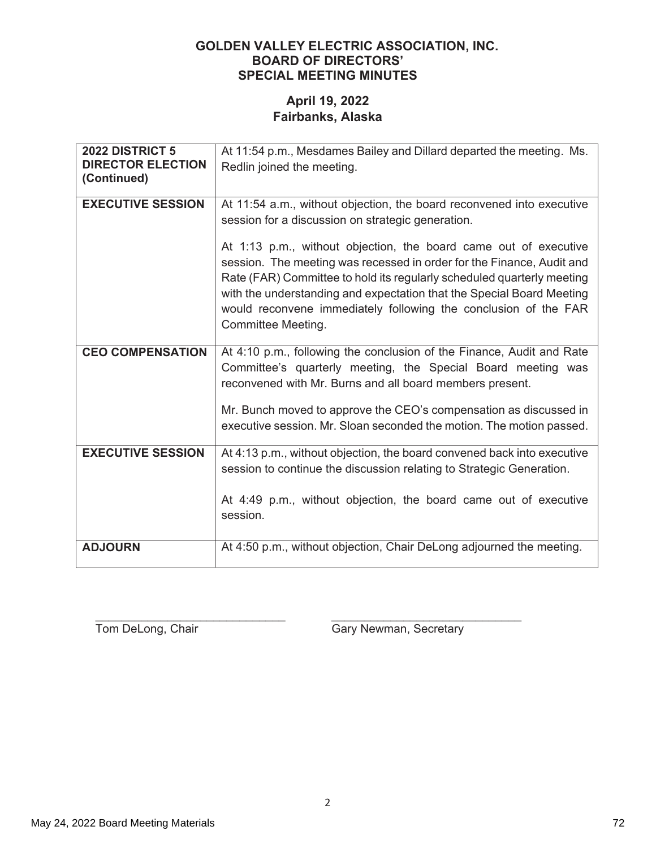## April 19, 2022 Fairbanks, Alaska

| 2022 DISTRICT 5<br><b>DIRECTOR ELECTION</b><br>(Continued) | At 11:54 p.m., Mesdames Bailey and Dillard departed the meeting. Ms.<br>Redlin joined the meeting.                                                                                                                                                                                                                                                                                                                                                                                                                  |
|------------------------------------------------------------|---------------------------------------------------------------------------------------------------------------------------------------------------------------------------------------------------------------------------------------------------------------------------------------------------------------------------------------------------------------------------------------------------------------------------------------------------------------------------------------------------------------------|
| <b>EXECUTIVE SESSION</b>                                   | At 11:54 a.m., without objection, the board reconvened into executive<br>session for a discussion on strategic generation.<br>At 1:13 p.m., without objection, the board came out of executive<br>session. The meeting was recessed in order for the Finance, Audit and<br>Rate (FAR) Committee to hold its regularly scheduled quarterly meeting<br>with the understanding and expectation that the Special Board Meeting<br>would reconvene immediately following the conclusion of the FAR<br>Committee Meeting. |
| <b>CEO COMPENSATION</b>                                    | At 4:10 p.m., following the conclusion of the Finance, Audit and Rate<br>Committee's quarterly meeting, the Special Board meeting was<br>reconvened with Mr. Burns and all board members present.<br>Mr. Bunch moved to approve the CEO's compensation as discussed in<br>executive session. Mr. Sloan seconded the motion. The motion passed.                                                                                                                                                                      |
| <b>EXECUTIVE SESSION</b>                                   | At 4:13 p.m., without objection, the board convened back into executive<br>session to continue the discussion relating to Strategic Generation.<br>At 4:49 p.m., without objection, the board came out of executive<br>session.                                                                                                                                                                                                                                                                                     |
| <b>ADJOURN</b>                                             | At 4:50 p.m., without objection, Chair DeLong adjourned the meeting.                                                                                                                                                                                                                                                                                                                                                                                                                                                |

Tom DeLong, Chair

Gary Newman, Secretary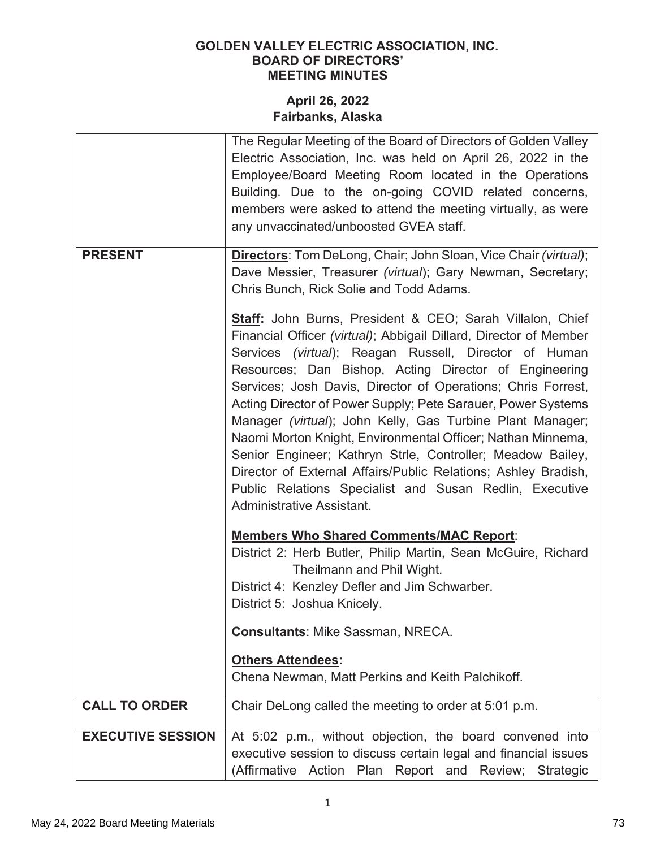|                          | The Regular Meeting of the Board of Directors of Golden Valley<br>Electric Association, Inc. was held on April 26, 2022 in the<br>Employee/Board Meeting Room located in the Operations<br>Building. Due to the on-going COVID related concerns,<br>members were asked to attend the meeting virtually, as were<br>any unvaccinated/unboosted GVEA staff.                                                                                                                                                                                                                                                                                                                                                                                   |
|--------------------------|---------------------------------------------------------------------------------------------------------------------------------------------------------------------------------------------------------------------------------------------------------------------------------------------------------------------------------------------------------------------------------------------------------------------------------------------------------------------------------------------------------------------------------------------------------------------------------------------------------------------------------------------------------------------------------------------------------------------------------------------|
| <b>PRESENT</b>           | <b>Directors:</b> Tom DeLong, Chair; John Sloan, Vice Chair (virtual);<br>Dave Messier, Treasurer (virtual); Gary Newman, Secretary;<br>Chris Bunch, Rick Solie and Todd Adams.                                                                                                                                                                                                                                                                                                                                                                                                                                                                                                                                                             |
|                          | <b>Staff:</b> John Burns, President & CEO; Sarah Villalon, Chief<br>Financial Officer (virtual); Abbigail Dillard, Director of Member<br>Services (virtual); Reagan Russell, Director of Human<br>Resources; Dan Bishop, Acting Director of Engineering<br>Services; Josh Davis, Director of Operations; Chris Forrest,<br>Acting Director of Power Supply; Pete Sarauer, Power Systems<br>Manager (virtual); John Kelly, Gas Turbine Plant Manager;<br>Naomi Morton Knight, Environmental Officer; Nathan Minnema,<br>Senior Engineer; Kathryn Strle, Controller; Meadow Bailey,<br>Director of External Affairs/Public Relations; Ashley Bradish,<br>Public Relations Specialist and Susan Redlin, Executive<br>Administrative Assistant. |
|                          | <b>Members Who Shared Comments/MAC Report:</b><br>District 2: Herb Butler, Philip Martin, Sean McGuire, Richard<br>Theilmann and Phil Wight.                                                                                                                                                                                                                                                                                                                                                                                                                                                                                                                                                                                                |
|                          | District 4: Kenzley Defler and Jim Schwarber.<br>District 5: Joshua Knicely.                                                                                                                                                                                                                                                                                                                                                                                                                                                                                                                                                                                                                                                                |
|                          | <b>Consultants: Mike Sassman, NRECA.</b>                                                                                                                                                                                                                                                                                                                                                                                                                                                                                                                                                                                                                                                                                                    |
|                          | <b>Others Attendees:</b><br>Chena Newman, Matt Perkins and Keith Palchikoff.                                                                                                                                                                                                                                                                                                                                                                                                                                                                                                                                                                                                                                                                |
| <b>CALL TO ORDER</b>     | Chair DeLong called the meeting to order at 5:01 p.m.                                                                                                                                                                                                                                                                                                                                                                                                                                                                                                                                                                                                                                                                                       |
| <b>EXECUTIVE SESSION</b> | At 5:02 p.m., without objection, the board convened into<br>executive session to discuss certain legal and financial issues<br>(Affirmative<br>Action Plan Report and<br>Review; Strategic                                                                                                                                                                                                                                                                                                                                                                                                                                                                                                                                                  |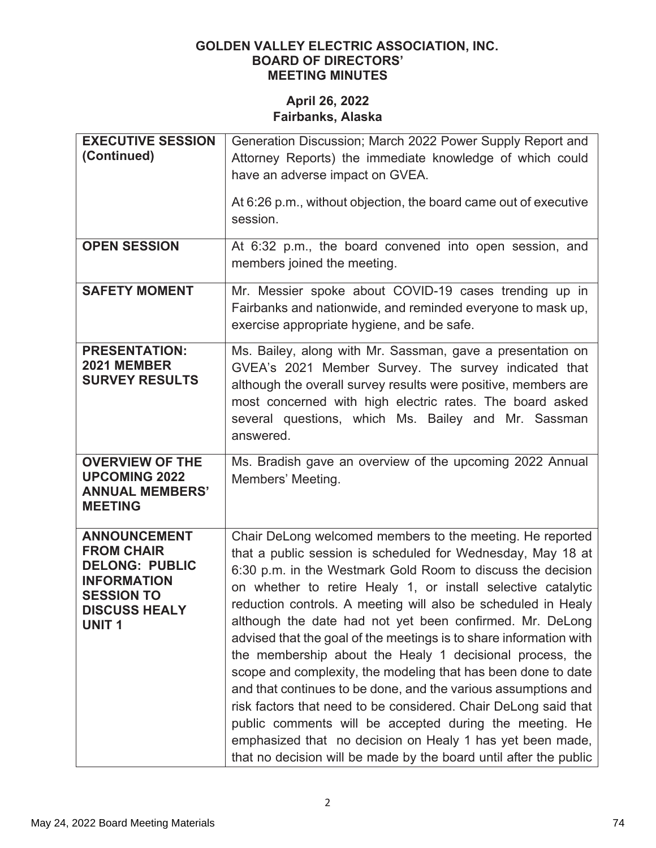| <b>EXECUTIVE SESSION</b><br>(Continued)                                                                                                              | Generation Discussion; March 2022 Power Supply Report and<br>Attorney Reports) the immediate knowledge of which could<br>have an adverse impact on GVEA.<br>At 6:26 p.m., without objection, the board came out of executive<br>session.                                                                                                                                                                                                                                                                                                                                                                                                                                                                                                                                                                                                                                                                                  |
|------------------------------------------------------------------------------------------------------------------------------------------------------|---------------------------------------------------------------------------------------------------------------------------------------------------------------------------------------------------------------------------------------------------------------------------------------------------------------------------------------------------------------------------------------------------------------------------------------------------------------------------------------------------------------------------------------------------------------------------------------------------------------------------------------------------------------------------------------------------------------------------------------------------------------------------------------------------------------------------------------------------------------------------------------------------------------------------|
| <b>OPEN SESSION</b>                                                                                                                                  | At 6:32 p.m., the board convened into open session, and<br>members joined the meeting.                                                                                                                                                                                                                                                                                                                                                                                                                                                                                                                                                                                                                                                                                                                                                                                                                                    |
| <b>SAFETY MOMENT</b>                                                                                                                                 | Mr. Messier spoke about COVID-19 cases trending up in<br>Fairbanks and nationwide, and reminded everyone to mask up,<br>exercise appropriate hygiene, and be safe.                                                                                                                                                                                                                                                                                                                                                                                                                                                                                                                                                                                                                                                                                                                                                        |
| <b>PRESENTATION:</b><br>2021 MEMBER<br><b>SURVEY RESULTS</b>                                                                                         | Ms. Bailey, along with Mr. Sassman, gave a presentation on<br>GVEA's 2021 Member Survey. The survey indicated that<br>although the overall survey results were positive, members are<br>most concerned with high electric rates. The board asked<br>several questions, which Ms. Bailey and Mr. Sassman<br>answered.                                                                                                                                                                                                                                                                                                                                                                                                                                                                                                                                                                                                      |
| <b>OVERVIEW OF THE</b><br><b>UPCOMING 2022</b><br><b>ANNUAL MEMBERS'</b><br><b>MEETING</b>                                                           | Ms. Bradish gave an overview of the upcoming 2022 Annual<br>Members' Meeting.                                                                                                                                                                                                                                                                                                                                                                                                                                                                                                                                                                                                                                                                                                                                                                                                                                             |
| <b>ANNOUNCEMENT</b><br><b>FROM CHAIR</b><br><b>DELONG: PUBLIC</b><br><b>INFORMATION</b><br><b>SESSION TO</b><br><b>DISCUSS HEALY</b><br><b>UNIT1</b> | Chair DeLong welcomed members to the meeting. He reported<br>that a public session is scheduled for Wednesday, May 18 at<br>6:30 p.m. in the Westmark Gold Room to discuss the decision<br>on whether to retire Healy 1, or install selective catalytic<br>reduction controls. A meeting will also be scheduled in Healy<br>although the date had not yet been confirmed. Mr. DeLong<br>advised that the goal of the meetings is to share information with<br>the membership about the Healy 1 decisional process, the<br>scope and complexity, the modeling that has been done to date<br>and that continues to be done, and the various assumptions and<br>risk factors that need to be considered. Chair DeLong said that<br>public comments will be accepted during the meeting. He<br>emphasized that no decision on Healy 1 has yet been made,<br>that no decision will be made by the board until after the public |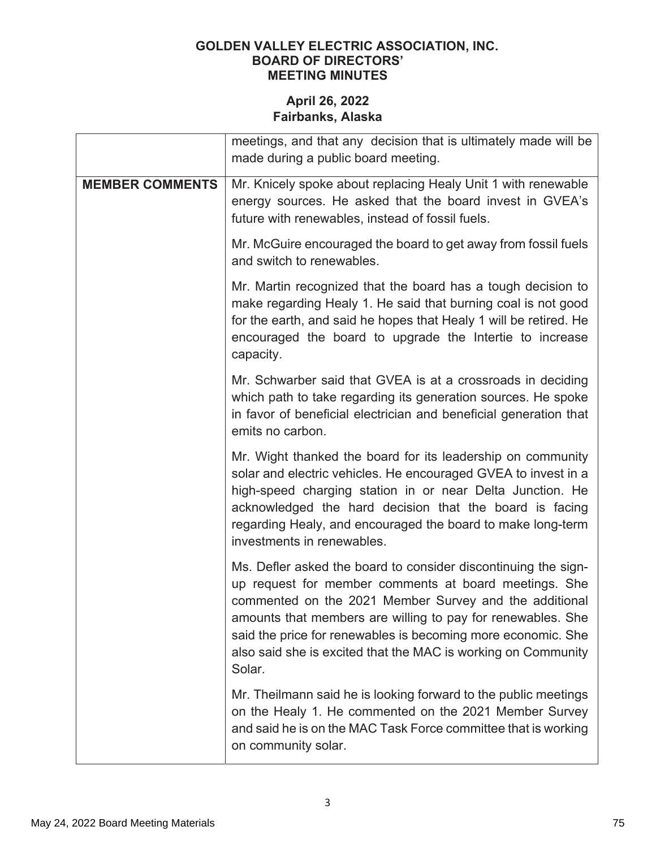|                        | meetings, and that any decision that is ultimately made will be<br>made during a public board meeting.                                                                                                                                                                                                                                                                                      |  |  |  |  |
|------------------------|---------------------------------------------------------------------------------------------------------------------------------------------------------------------------------------------------------------------------------------------------------------------------------------------------------------------------------------------------------------------------------------------|--|--|--|--|
| <b>MEMBER COMMENTS</b> | Mr. Knicely spoke about replacing Healy Unit 1 with renewable<br>energy sources. He asked that the board invest in GVEA's<br>future with renewables, instead of fossil fuels.                                                                                                                                                                                                               |  |  |  |  |
|                        | Mr. McGuire encouraged the board to get away from fossil fuels<br>and switch to renewables.                                                                                                                                                                                                                                                                                                 |  |  |  |  |
|                        | Mr. Martin recognized that the board has a tough decision to<br>make regarding Healy 1. He said that burning coal is not good<br>for the earth, and said he hopes that Healy 1 will be retired. He<br>encouraged the board to upgrade the Intertie to increase<br>capacity.                                                                                                                 |  |  |  |  |
|                        | Mr. Schwarber said that GVEA is at a crossroads in deciding<br>which path to take regarding its generation sources. He spoke<br>in favor of beneficial electrician and beneficial generation that<br>emits no carbon.                                                                                                                                                                       |  |  |  |  |
|                        | Mr. Wight thanked the board for its leadership on community<br>solar and electric vehicles. He encouraged GVEA to invest in a<br>high-speed charging station in or near Delta Junction. He<br>acknowledged the hard decision that the board is facing<br>regarding Healy, and encouraged the board to make long-term<br>investments in renewables.                                          |  |  |  |  |
|                        | Ms. Defler asked the board to consider discontinuing the sign-<br>up request for member comments at board meetings. She<br>commented on the 2021 Member Survey and the additional<br>amounts that members are willing to pay for renewables. She<br>said the price for renewables is becoming more economic. She<br>also said she is excited that the MAC is working on Community<br>Solar. |  |  |  |  |
|                        | Mr. Theilmann said he is looking forward to the public meetings<br>on the Healy 1. He commented on the 2021 Member Survey<br>and said he is on the MAC Task Force committee that is working<br>on community solar.                                                                                                                                                                          |  |  |  |  |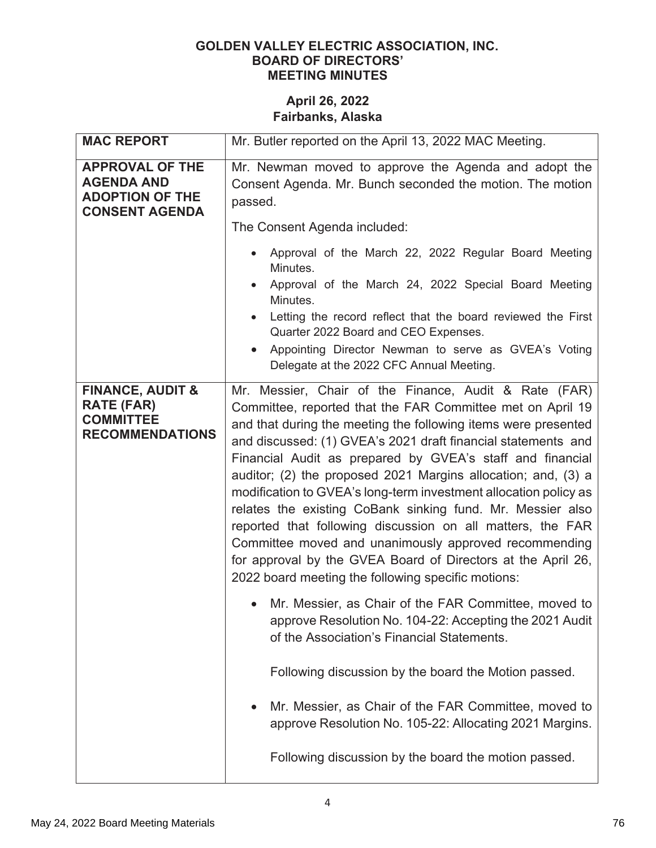| Mr. Butler reported on the April 13, 2022 MAC Meeting.                                                                                                                                                                                                                                                                                                                                                                                                                                                                                                                                                                                                                                                                                                              |  |  |  |
|---------------------------------------------------------------------------------------------------------------------------------------------------------------------------------------------------------------------------------------------------------------------------------------------------------------------------------------------------------------------------------------------------------------------------------------------------------------------------------------------------------------------------------------------------------------------------------------------------------------------------------------------------------------------------------------------------------------------------------------------------------------------|--|--|--|
| Mr. Newman moved to approve the Agenda and adopt the<br>Consent Agenda. Mr. Bunch seconded the motion. The motion<br>passed.<br>The Consent Agenda included:                                                                                                                                                                                                                                                                                                                                                                                                                                                                                                                                                                                                        |  |  |  |
| Approval of the March 22, 2022 Regular Board Meeting<br>Minutes.<br>Approval of the March 24, 2022 Special Board Meeting<br>Minutes.<br>Letting the record reflect that the board reviewed the First<br>Quarter 2022 Board and CEO Expenses.<br>Appointing Director Newman to serve as GVEA's Voting<br>Delegate at the 2022 CFC Annual Meeting.                                                                                                                                                                                                                                                                                                                                                                                                                    |  |  |  |
| Mr. Messier, Chair of the Finance, Audit & Rate (FAR)<br>Committee, reported that the FAR Committee met on April 19<br>and that during the meeting the following items were presented<br>and discussed: (1) GVEA's 2021 draft financial statements and<br>Financial Audit as prepared by GVEA's staff and financial<br>auditor; (2) the proposed 2021 Margins allocation; and, (3) a<br>modification to GVEA's long-term investment allocation policy as<br>relates the existing CoBank sinking fund. Mr. Messier also<br>reported that following discussion on all matters, the FAR<br>Committee moved and unanimously approved recommending<br>for approval by the GVEA Board of Directors at the April 26,<br>2022 board meeting the following specific motions: |  |  |  |
| Mr. Messier, as Chair of the FAR Committee, moved to<br>approve Resolution No. 104-22: Accepting the 2021 Audit<br>of the Association's Financial Statements.                                                                                                                                                                                                                                                                                                                                                                                                                                                                                                                                                                                                       |  |  |  |
| Following discussion by the board the Motion passed.<br>Mr. Messier, as Chair of the FAR Committee, moved to<br>approve Resolution No. 105-22: Allocating 2021 Margins.<br>Following discussion by the board the motion passed.                                                                                                                                                                                                                                                                                                                                                                                                                                                                                                                                     |  |  |  |
|                                                                                                                                                                                                                                                                                                                                                                                                                                                                                                                                                                                                                                                                                                                                                                     |  |  |  |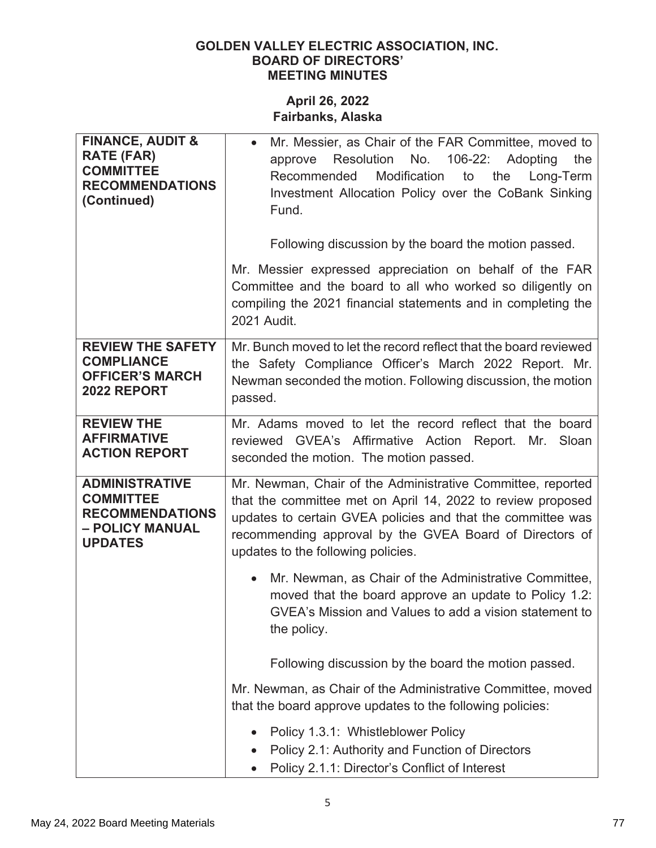| <b>FINANCE, AUDIT &amp;</b><br><b>RATE (FAR)</b><br><b>COMMITTEE</b><br><b>RECOMMENDATIONS</b><br>(Continued) | Mr. Messier, as Chair of the FAR Committee, moved to<br>Resolution<br>No.<br>106-22:<br>Adopting<br>the<br>approve<br>Modification<br>Recommended<br>to<br>the<br>Long-Term<br>Investment Allocation Policy over the CoBank Sinking<br>Fund.                                               |  |  |  |  |
|---------------------------------------------------------------------------------------------------------------|--------------------------------------------------------------------------------------------------------------------------------------------------------------------------------------------------------------------------------------------------------------------------------------------|--|--|--|--|
|                                                                                                               | Following discussion by the board the motion passed.                                                                                                                                                                                                                                       |  |  |  |  |
|                                                                                                               | Mr. Messier expressed appreciation on behalf of the FAR<br>Committee and the board to all who worked so diligently on<br>compiling the 2021 financial statements and in completing the<br>2021 Audit.                                                                                      |  |  |  |  |
| <b>REVIEW THE SAFETY</b><br><b>COMPLIANCE</b><br><b>OFFICER'S MARCH</b><br><b>2022 REPORT</b>                 | Mr. Bunch moved to let the record reflect that the board reviewed<br>the Safety Compliance Officer's March 2022 Report. Mr.<br>Newman seconded the motion. Following discussion, the motion<br>passed.                                                                                     |  |  |  |  |
| <b>REVIEW THE</b><br><b>AFFIRMATIVE</b><br><b>ACTION REPORT</b>                                               | Mr. Adams moved to let the record reflect that the board<br>reviewed GVEA's Affirmative Action Report. Mr.<br>Sloan<br>seconded the motion. The motion passed.                                                                                                                             |  |  |  |  |
| <b>ADMINISTRATIVE</b><br><b>COMMITTEE</b><br><b>RECOMMENDATIONS</b><br>- POLICY MANUAL<br><b>UPDATES</b>      | Mr. Newman, Chair of the Administrative Committee, reported<br>that the committee met on April 14, 2022 to review proposed<br>updates to certain GVEA policies and that the committee was<br>recommending approval by the GVEA Board of Directors of<br>updates to the following policies. |  |  |  |  |
|                                                                                                               | Mr. Newman, as Chair of the Administrative Committee,<br>$\bullet$<br>moved that the board approve an update to Policy 1.2:<br>GVEA's Mission and Values to add a vision statement to<br>the policy.                                                                                       |  |  |  |  |
|                                                                                                               | Following discussion by the board the motion passed.                                                                                                                                                                                                                                       |  |  |  |  |
|                                                                                                               | Mr. Newman, as Chair of the Administrative Committee, moved<br>that the board approve updates to the following policies:                                                                                                                                                                   |  |  |  |  |
|                                                                                                               | Policy 1.3.1: Whistleblower Policy<br>Policy 2.1: Authority and Function of Directors<br>Policy 2.1.1: Director's Conflict of Interest                                                                                                                                                     |  |  |  |  |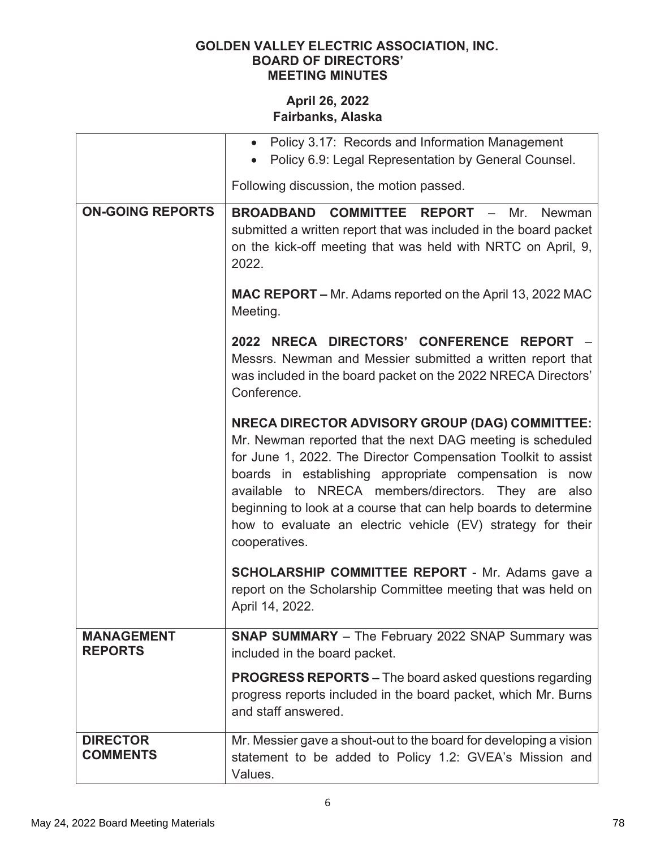|                                     | Policy 3.17: Records and Information Management<br>$\bullet$<br>Policy 6.9: Legal Representation by General Counsel.                                                                                                                                                                                                                                                                                                                                        |  |  |  |  |
|-------------------------------------|-------------------------------------------------------------------------------------------------------------------------------------------------------------------------------------------------------------------------------------------------------------------------------------------------------------------------------------------------------------------------------------------------------------------------------------------------------------|--|--|--|--|
|                                     | Following discussion, the motion passed.                                                                                                                                                                                                                                                                                                                                                                                                                    |  |  |  |  |
| <b>ON-GOING REPORTS</b>             | <b>BROADBAND COMMITTEE REPORT - Mr.</b><br><b>Newman</b><br>submitted a written report that was included in the board packet<br>on the kick-off meeting that was held with NRTC on April, 9,<br>2022.                                                                                                                                                                                                                                                       |  |  |  |  |
|                                     | <b>MAC REPORT – Mr. Adams reported on the April 13, 2022 MAC</b><br>Meeting.                                                                                                                                                                                                                                                                                                                                                                                |  |  |  |  |
|                                     | NRECA DIRECTORS' CONFERENCE REPORT -<br>2022<br>Messrs. Newman and Messier submitted a written report that<br>was included in the board packet on the 2022 NRECA Directors'<br>Conference.                                                                                                                                                                                                                                                                  |  |  |  |  |
|                                     | <b>NRECA DIRECTOR ADVISORY GROUP (DAG) COMMITTEE:</b><br>Mr. Newman reported that the next DAG meeting is scheduled<br>for June 1, 2022. The Director Compensation Toolkit to assist<br>boards in establishing appropriate compensation is now<br>available to NRECA members/directors. They are<br>also<br>beginning to look at a course that can help boards to determine<br>how to evaluate an electric vehicle (EV) strategy for their<br>cooperatives. |  |  |  |  |
|                                     | <b>SCHOLARSHIP COMMITTEE REPORT - Mr. Adams gave a</b><br>report on the Scholarship Committee meeting that was held on<br>April 14, 2022.                                                                                                                                                                                                                                                                                                                   |  |  |  |  |
| <b>MANAGEMENT</b><br><b>REPORTS</b> | <b>SNAP SUMMARY</b> - The February 2022 SNAP Summary was<br>included in the board packet.                                                                                                                                                                                                                                                                                                                                                                   |  |  |  |  |
|                                     | <b>PROGRESS REPORTS – The board asked questions regarding</b><br>progress reports included in the board packet, which Mr. Burns<br>and staff answered.                                                                                                                                                                                                                                                                                                      |  |  |  |  |
| <b>DIRECTOR</b><br><b>COMMENTS</b>  | Mr. Messier gave a shout-out to the board for developing a vision<br>statement to be added to Policy 1.2: GVEA's Mission and<br>Values.                                                                                                                                                                                                                                                                                                                     |  |  |  |  |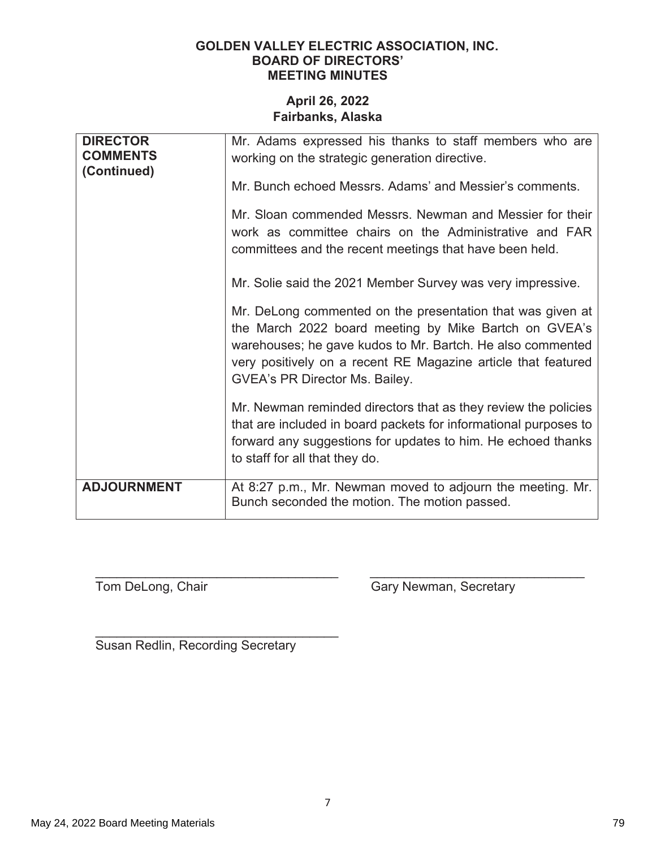### April 26, 2022 Fairbanks, Alaska

| <b>DIRECTOR</b><br><b>COMMENTS</b><br>(Continued) | Mr. Adams expressed his thanks to staff members who are<br>working on the strategic generation directive.<br>Mr. Bunch echoed Messrs. Adams' and Messier's comments.<br>Mr. Sloan commended Messrs. Newman and Messier for their<br>work as committee chairs on the Administrative and FAR<br>committees and the recent meetings that have been held.<br>Mr. Solie said the 2021 Member Survey was very impressive.<br>Mr. DeLong commented on the presentation that was given at<br>the March 2022 board meeting by Mike Bartch on GVEA's<br>warehouses; he gave kudos to Mr. Bartch. He also commented<br>very positively on a recent RE Magazine article that featured<br>GVEA's PR Director Ms. Bailey.<br>Mr. Newman reminded directors that as they review the policies<br>that are included in board packets for informational purposes to<br>forward any suggestions for updates to him. He echoed thanks<br>to staff for all that they do. |
|---------------------------------------------------|-----------------------------------------------------------------------------------------------------------------------------------------------------------------------------------------------------------------------------------------------------------------------------------------------------------------------------------------------------------------------------------------------------------------------------------------------------------------------------------------------------------------------------------------------------------------------------------------------------------------------------------------------------------------------------------------------------------------------------------------------------------------------------------------------------------------------------------------------------------------------------------------------------------------------------------------------------|
| <b>ADJOURNMENT</b>                                | At 8:27 p.m., Mr. Newman moved to adjourn the meeting. Mr.<br>Bunch seconded the motion. The motion passed.                                                                                                                                                                                                                                                                                                                                                                                                                                                                                                                                                                                                                                                                                                                                                                                                                                         |

Tom DeLong, Chair

Gary Newman, Secretary

Susan Redlin, Recording Secretary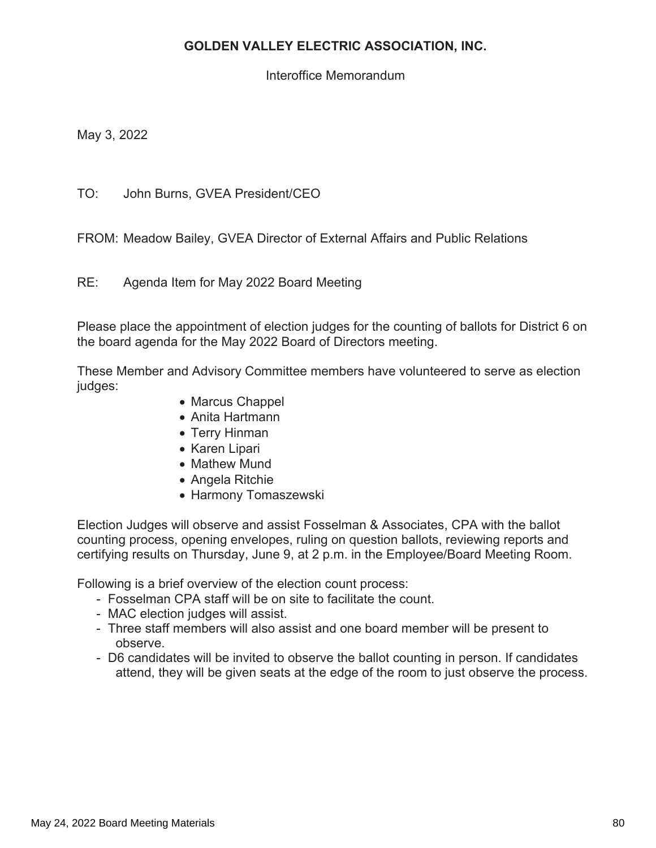## **GOLDEN VALLEY ELECTRIC ASSOCIATION, INC.**

Interoffice Memorandum

May 3, 2022

TO: John Burns, GVEA President/CEO

FROM: Meadow Bailey, GVEA Director of External Affairs and Public Relations

 $RF^+$ Agenda Item for May 2022 Board Meeting

Please place the appointment of election judges for the counting of ballots for District 6 on the board agenda for the May 2022 Board of Directors meeting.

These Member and Advisory Committee members have volunteered to serve as election judges:

- Marcus Chappel
- Anita Hartmann
- Terry Hinman
- Karen Lipari
- Mathew Mund
- Angela Ritchie
- Harmony Tomaszewski

Election Judges will observe and assist Fosselman & Associates, CPA with the ballot counting process, opening envelopes, ruling on question ballots, reviewing reports and certifying results on Thursday, June 9, at 2 p.m. in the Employee/Board Meeting Room.

Following is a brief overview of the election count process:

- Fosselman CPA staff will be on site to facilitate the count.
- MAC election judges will assist.
- Three staff members will also assist and one board member will be present to observe
- D6 candidates will be invited to observe the ballot counting in person. If candidates attend, they will be given seats at the edge of the room to just observe the process.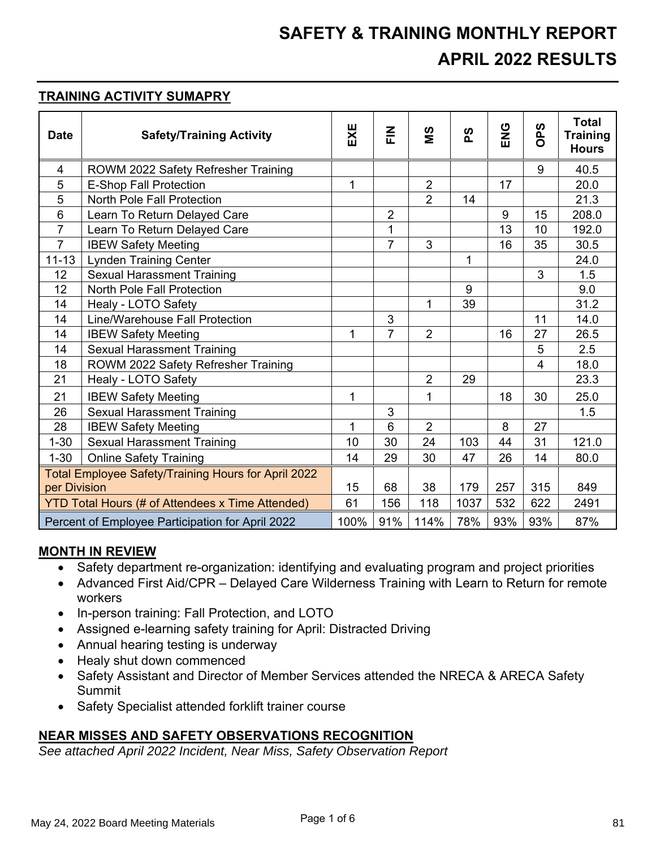## **SAFETY & TRAINING MONTHLY REPORT APRIL 2022 RESULTS**

#### *TRAINING ACTIVITY SUMAPRY*

| <b>Date</b>                                             | <b>Safety/Training Activity</b>     | EXE          | $rac{Z}{L}$    | SM             | တ္   | <b>PNE</b> | <b>S</b><br>Ä | <b>Total</b><br><b>Training</b><br><b>Hours</b> |
|---------------------------------------------------------|-------------------------------------|--------------|----------------|----------------|------|------------|---------------|-------------------------------------------------|
| $\overline{4}$                                          | ROWM 2022 Safety Refresher Training |              |                |                |      |            | 9             | 40.5                                            |
| 5                                                       | <b>E-Shop Fall Protection</b>       | 1            |                | $\overline{2}$ |      | 17         |               | 20.0                                            |
| 5                                                       | <b>North Pole Fall Protection</b>   |              |                | $\overline{2}$ | 14   |            |               | 21.3                                            |
| $6\phantom{1}6$                                         | Learn To Return Delayed Care        |              | $\overline{2}$ |                |      | 9          | 15            | 208.0                                           |
| $\overline{7}$                                          | Learn To Return Delayed Care        |              | 1              |                |      | 13         | 10            | 192.0                                           |
| $\overline{7}$                                          | <b>IBEW Safety Meeting</b>          |              | $\overline{7}$ | 3              |      | 16         | 35            | 30.5                                            |
| $11 - 13$                                               | <b>Lynden Training Center</b>       |              |                |                | 1    |            |               | 24.0                                            |
| 12                                                      | <b>Sexual Harassment Training</b>   |              |                |                |      |            | 3             | 1.5                                             |
| 12                                                      | <b>North Pole Fall Protection</b>   |              |                |                | 9    |            |               | 9.0                                             |
| 14                                                      | Healy - LOTO Safety                 |              |                | 1              | 39   |            |               | 31.2                                            |
| 14                                                      | Line/Warehouse Fall Protection      |              | 3              |                |      |            | 11            | 14.0                                            |
| 14                                                      | <b>IBEW Safety Meeting</b>          | $\mathbf{1}$ | $\overline{7}$ | $\overline{2}$ |      | 16         | 27            | 26.5                                            |
| 14                                                      | <b>Sexual Harassment Training</b>   |              |                |                |      |            | 5             | 2.5                                             |
| 18                                                      | ROWM 2022 Safety Refresher Training |              |                |                |      |            | 4             | 18.0                                            |
| 21                                                      | Healy - LOTO Safety                 |              |                | $\overline{2}$ | 29   |            |               | 23.3                                            |
| 21                                                      | <b>IBEW Safety Meeting</b>          | 1            |                | $\mathbf{1}$   |      | 18         | 30            | 25.0                                            |
| 26                                                      | <b>Sexual Harassment Training</b>   |              | 3              |                |      |            |               | 1.5                                             |
| 28                                                      | <b>IBEW Safety Meeting</b>          | 1            | 6              | $\overline{2}$ |      | 8          | 27            |                                                 |
| $1 - 30$                                                | <b>Sexual Harassment Training</b>   | 10           | 30             | 24             | 103  | 44         | 31            | 121.0                                           |
| $1 - 30$                                                | <b>Online Safety Training</b>       | 14           | 29             | 30             | 47   | 26         | 14            | 80.0                                            |
| Total Employee Safety/Training Hours for April 2022     |                                     |              |                |                |      |            |               |                                                 |
| per Division                                            |                                     | 15           | 68             | 38             | 179  | 257        | 315           | 849                                             |
| <b>YTD Total Hours (# of Attendees x Time Attended)</b> |                                     | 61           | 156            | 118            | 1037 | 532        | 622           | 2491                                            |
| Percent of Employee Participation for April 2022        |                                     | 100%         | 91%            | 114%           | 78%  | 93%        | 93%           | 87%                                             |

#### **MONTH IN REVIEW**

- Safety department re-organization: identifying and evaluating program and project priorities
- Advanced First Aid/CPR Delayed Care Wilderness Training with Learn to Return for remote workers
- In-person training: Fall Protection, and LOTO
- Assigned e-learning safety training for April: Distracted Driving
- Annual hearing testing is underway
- Healy shut down commenced
- Safety Assistant and Director of Member Services attended the NRECA & ARECA Safety Summit
- Safety Specialist attended forklift trainer course

### **NEAR MISSES AND SAFETY OBSERVATIONS RECOGNITION**

*See attached April 2022 Incident, Near Miss, Safety Observation Report*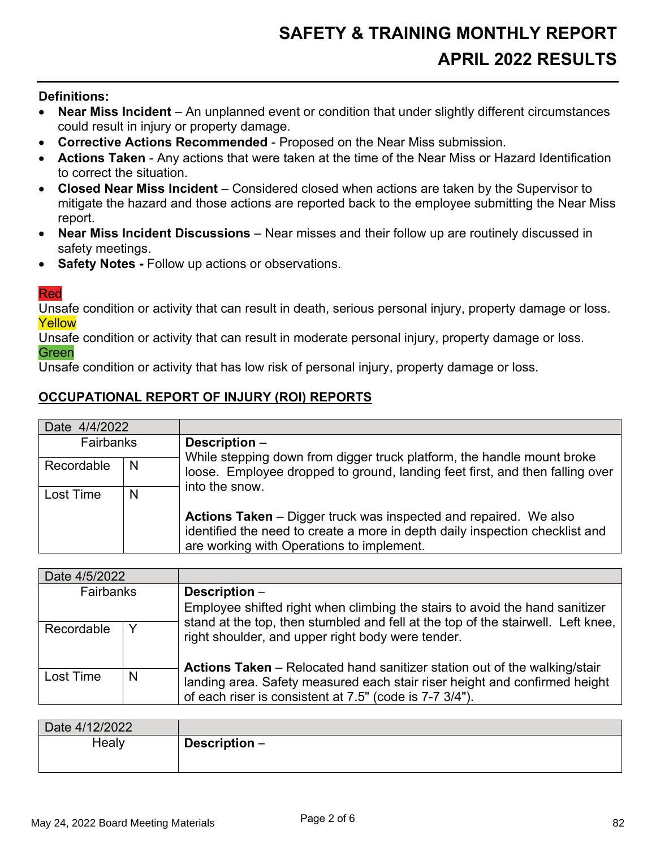#### **Definitions:**

- Near Miss Incident An unplanned event or condition that under slightly different circumstances  $\bullet$ could result in injury or property damage.
- Corrective Actions Recommended Proposed on the Near Miss submission.
- Actions Taken Any actions that were taken at the time of the Near Miss or Hazard Identification to correct the situation.
- Closed Near Miss Incident Considered closed when actions are taken by the Supervisor to  $\bullet$ mitigate the hazard and those actions are reported back to the employee submitting the Near Miss report.
- Near Miss Incident Discussions Near misses and their follow up are routinely discussed in  $\bullet$ safety meetings.
- Safety Notes Follow up actions or observations.  $\bullet$

#### **Red**

Unsafe condition or activity that can result in death, serious personal injury, property damage or loss. Yellow

Unsafe condition or activity that can result in moderate personal injury, property damage or loss. Green

Unsafe condition or activity that has low risk of personal injury, property damage or loss.

## **OCCUPATIONAL REPORT OF INJURY (ROI) REPORTS**

| Date 4/4/2022 |   |                                                                                                                                                                                                      |  |  |
|---------------|---|------------------------------------------------------------------------------------------------------------------------------------------------------------------------------------------------------|--|--|
| Fairbanks     |   | Description -                                                                                                                                                                                        |  |  |
| Recordable    | N | While stepping down from digger truck platform, the handle mount broke<br>loose. Employee dropped to ground, landing feet first, and then falling over<br>into the snow.                             |  |  |
| Lost Time     | N |                                                                                                                                                                                                      |  |  |
|               |   | <b>Actions Taken</b> – Digger truck was inspected and repaired. We also<br>identified the need to create a more in depth daily inspection checklist and<br>are working with Operations to implement. |  |  |

| Date 4/5/2022    |   |                                                                                                                                                                |  |
|------------------|---|----------------------------------------------------------------------------------------------------------------------------------------------------------------|--|
| <b>Fairbanks</b> |   | Description -                                                                                                                                                  |  |
|                  |   | Employee shifted right when climbing the stairs to avoid the hand sanitizer                                                                                    |  |
| Recordable       | Y | stand at the top, then stumbled and fell at the top of the stairwell. Left knee,<br>right shoulder, and upper right body were tender.                          |  |
| Lost Time        | N | <b>Actions Taken</b> – Relocated hand sanitizer station out of the walking/stair<br>landing area. Safety measured each stair riser height and confirmed height |  |
|                  |   | of each riser is consistent at 7.5" (code is 7-7 3/4").                                                                                                        |  |

| Date 4/12/2022 |                 |
|----------------|-----------------|
| Healy          | Description $-$ |
|                |                 |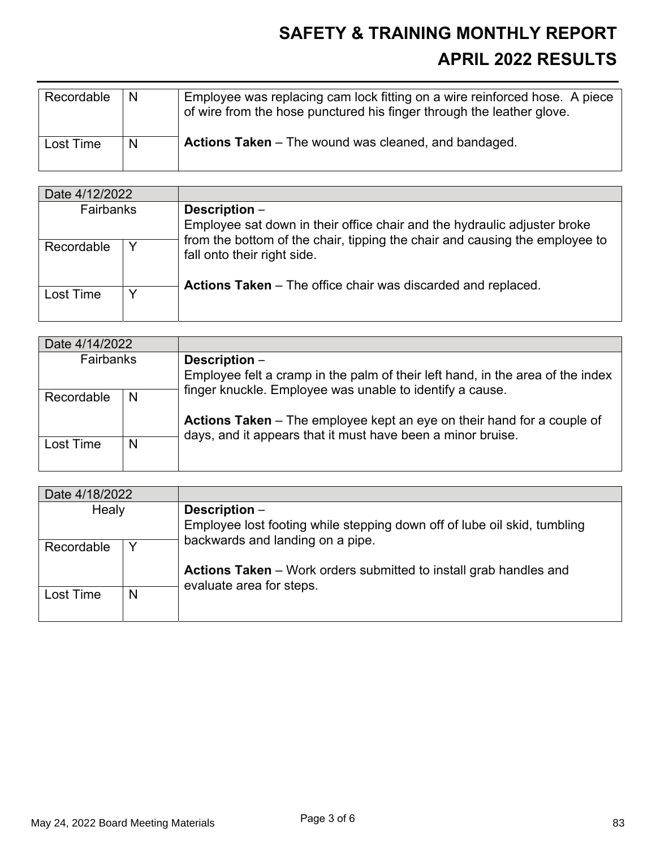## **SAFETY & TRAINING MONTHLY REPORT APRIL 2022 RESULTS**

| Recordable | -N | Employee was replacing cam lock fitting on a wire reinforced hose. A piece<br>of wire from the hose punctured his finger through the leather glove. |
|------------|----|-----------------------------------------------------------------------------------------------------------------------------------------------------|
| Lost Time  | N  | <b>Actions Taken</b> – The wound was cleaned, and bandaged.                                                                                         |

| Date 4/12/2022   |   |                                                                                                            |  |
|------------------|---|------------------------------------------------------------------------------------------------------------|--|
| <b>Fairbanks</b> |   | Description -<br>Employee sat down in their office chair and the hydraulic adjuster broke                  |  |
| Y<br>Recordable  |   | from the bottom of the chair, tipping the chair and causing the employee to<br>fall onto their right side. |  |
| Lost Time        | Y | <b>Actions Taken</b> – The office chair was discarded and replaced.                                        |  |

| Date 4/14/2022 |   |                                                                                                                                              |  |  |
|----------------|---|----------------------------------------------------------------------------------------------------------------------------------------------|--|--|
| Fairbanks      |   | Description -                                                                                                                                |  |  |
|                |   | Employee felt a cramp in the palm of their left hand, in the area of the index<br>finger knuckle. Employee was unable to identify a cause.   |  |  |
| Recordable     | N |                                                                                                                                              |  |  |
|                |   | <b>Actions Taken</b> – The employee kept an eye on their hand for a couple of<br>days, and it appears that it must have been a minor bruise. |  |  |
| Lost Time      | N |                                                                                                                                              |  |  |
|                |   |                                                                                                                                              |  |  |

| Date 4/18/2022 |   |                                                                                                      |  |  |
|----------------|---|------------------------------------------------------------------------------------------------------|--|--|
| Healy          |   | Description -                                                                                        |  |  |
|                |   | Employee lost footing while stepping down off of lube oil skid, tumbling                             |  |  |
| Recordable     | Y | backwards and landing on a pipe.                                                                     |  |  |
|                |   | <b>Actions Taken</b> – Work orders submitted to install grab handles and<br>evaluate area for steps. |  |  |
| Lost Time      | N |                                                                                                      |  |  |
|                |   |                                                                                                      |  |  |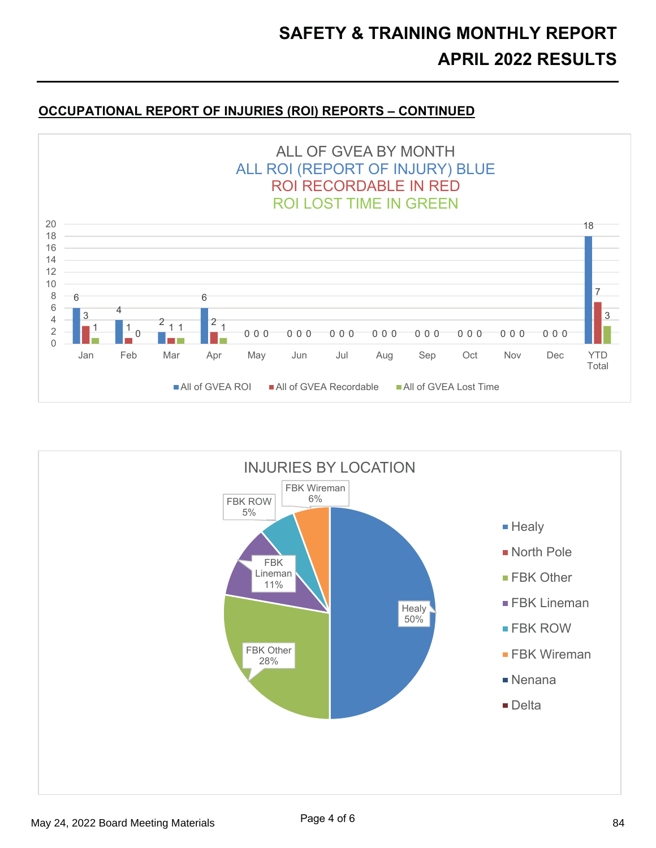### **20 OCCUPATIONAL REPORT OF INJURIES (ROI) REPORTS - CONTINUED**



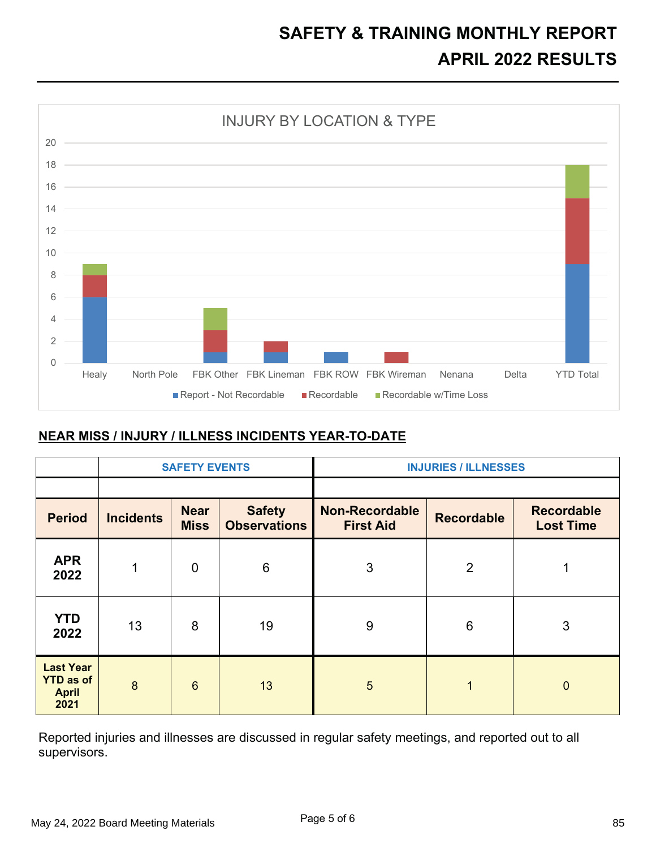## **SAFETY & TRAINING MONTHLY REPORT APRIL 2022 RESULTS**



#### **NEAR MISS / INJURY / ILLNESS INCIDENTS YEAR-TO-DATE**

|                                                              | <b>SAFETY EVENTS</b> |                            |                                      | <b>INJURIES / ILLNESSES</b>               |                   |                                       |  |
|--------------------------------------------------------------|----------------------|----------------------------|--------------------------------------|-------------------------------------------|-------------------|---------------------------------------|--|
|                                                              |                      |                            |                                      |                                           |                   |                                       |  |
| <b>Period</b>                                                | <b>Incidents</b>     | <b>Near</b><br><b>Miss</b> | <b>Safety</b><br><b>Observations</b> | <b>Non-Recordable</b><br><b>First Aid</b> | <b>Recordable</b> | <b>Recordable</b><br><b>Lost Time</b> |  |
| <b>APR</b><br>2022                                           | 1                    | $\overline{0}$             | 6                                    | 3                                         | $\overline{2}$    |                                       |  |
| <b>YTD</b><br>2022                                           | 13                   | 8                          | 19                                   | 9                                         | $6\phantom{1}6$   | 3                                     |  |
| <b>Last Year</b><br><b>YTD as of</b><br><b>April</b><br>2021 | 8                    | $6\phantom{1}6$            | 13                                   | 5                                         | $\overline{1}$    | $\mathbf{0}$                          |  |

Reported injuries and illnesses are discussed in regular safety meetings, and reported out to all supervisors.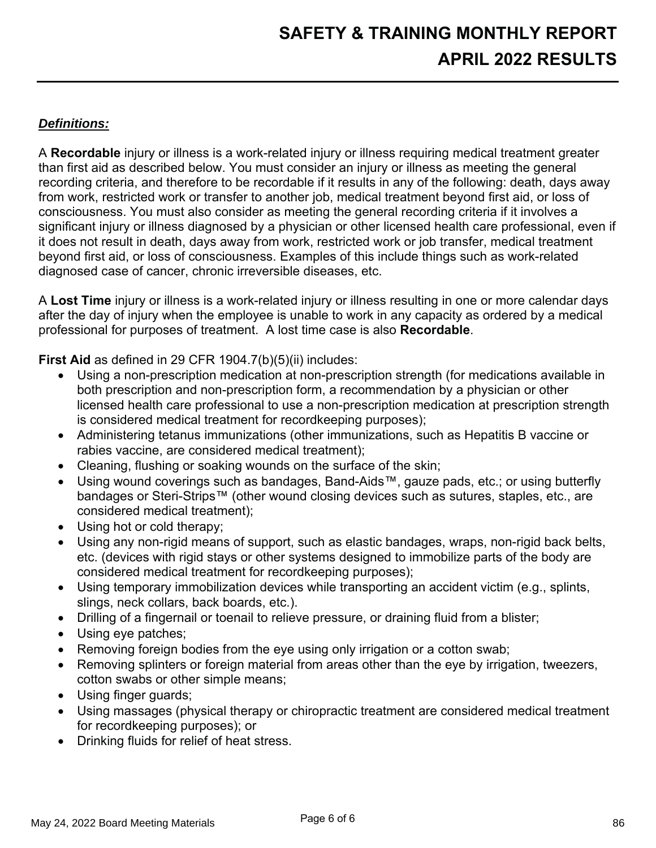## Definitions:

A Recordable injury or illness is a work-related injury or illness requiring medical treatment greater than first aid as described below. You must consider an injury or illness as meeting the general recording criteria, and therefore to be recordable if it results in any of the following: death, days away from work, restricted work or transfer to another job, medical treatment beyond first aid, or loss of consciousness. You must also consider as meeting the general recording criteria if it involves a significant injury or illness diagnosed by a physician or other licensed health care professional, even if it does not result in death, days away from work, restricted work or job transfer, medical treatment beyond first aid, or loss of consciousness. Examples of this include things such as work-related diagnosed case of cancer, chronic irreversible diseases, etc.

A Lost Time injury or illness is a work-related injury or illness resulting in one or more calendar days after the day of injury when the employee is unable to work in any capacity as ordered by a medical professional for purposes of treatment. A lost time case is also Recordable.

First Aid as defined in 29 CFR 1904.7(b)(5)(ii) includes:

- Using a non-prescription medication at non-prescription strength (for medications available in both prescription and non-prescription form, a recommendation by a physician or other licensed health care professional to use a non-prescription medication at prescription strength is considered medical treatment for recordkeeping purposes);
- Administering tetanus immunizations (other immunizations, such as Hepatitis B vaccine or rabies vaccine, are considered medical treatment);
- Cleaning, flushing or soaking wounds on the surface of the skin;
- Using wound coverings such as bandages, Band-Aids™, gauze pads, etc.; or using butterfly bandages or Steri-Strips™ (other wound closing devices such as sutures, staples, etc., are considered medical treatment);
- Using hot or cold therapy:
- Using any non-rigid means of support, such as elastic bandages, wraps, non-rigid back belts, etc. (devices with rigid stays or other systems designed to immobilize parts of the body are considered medical treatment for recordkeeping purposes);
- Using temporary immobilization devices while transporting an accident victim (e.g., splints,  $\bullet$ slings, neck collars, back boards, etc.).
- Drilling of a fingernail or toenail to relieve pressure, or draining fluid from a blister;
- Using eye patches;
- Removing foreign bodies from the eye using only irrigation or a cotton swab;
- Removing splinters or foreign material from areas other than the eye by irrigation, tweezers,  $\bullet$ cotton swabs or other simple means;
- Using finger guards;
- Using massages (physical therapy or chiropractic treatment are considered medical treatment for recordkeeping purposes); or
- Drinking fluids for relief of heat stress.  $\bullet$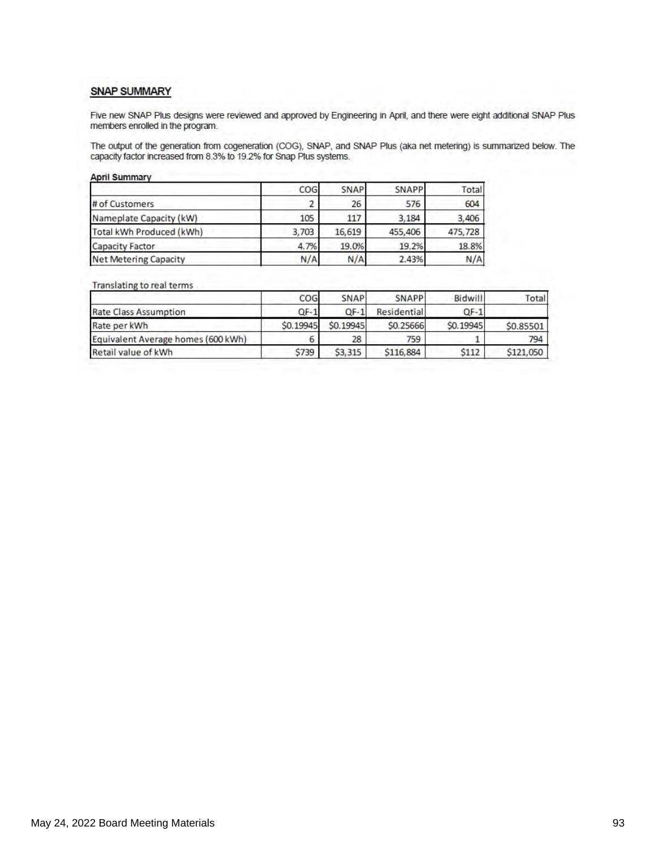#### **SNAP SUMMARY**

Five new SNAP Plus designs were reviewed and approved by Engineering in April, and there were eight additional SNAP Plus members enrolled in the program.

The output of the generation from cogeneration (COG), SNAP, and SNAP Plus (aka net metering) is summarized below. The capacity factor increased from 8.3% to 19.2% for Snap Plus systems.

| COG   | <b>SNAP</b> | <b>SNAPP</b> | <b>Total</b> |
|-------|-------------|--------------|--------------|
|       | 26          | 576          | 604          |
| 105   | 117         | 3.184        | 3,406        |
| 3,703 | 16,619      | 455,406      | 475,728      |
| 4.7%  | 19.0%       | 19.2%        | 18.8%        |
| N/A   | N/A         | 2.43%        | N/A          |
|       |             |              |              |

#### Translating to real terms

|                                    | COG       | <b>SNAP</b> | <b>SNAPP</b> | <b>Bidwill</b> | Total     |
|------------------------------------|-----------|-------------|--------------|----------------|-----------|
| <b>Rate Class Assumption</b>       | $QF-1$    | $OF-1$      | Residential  | $QF-1$         |           |
| Rate per kWh                       | \$0.19945 | \$0,19945   | \$0,25666    | \$0.19945      | \$0,85501 |
| Equivalent Average homes (600 kWh) | o         | 28          | 759          |                | 794       |
| Retail value of kWh                | \$739     | \$3,315     | \$116,884    | \$112          | \$121,050 |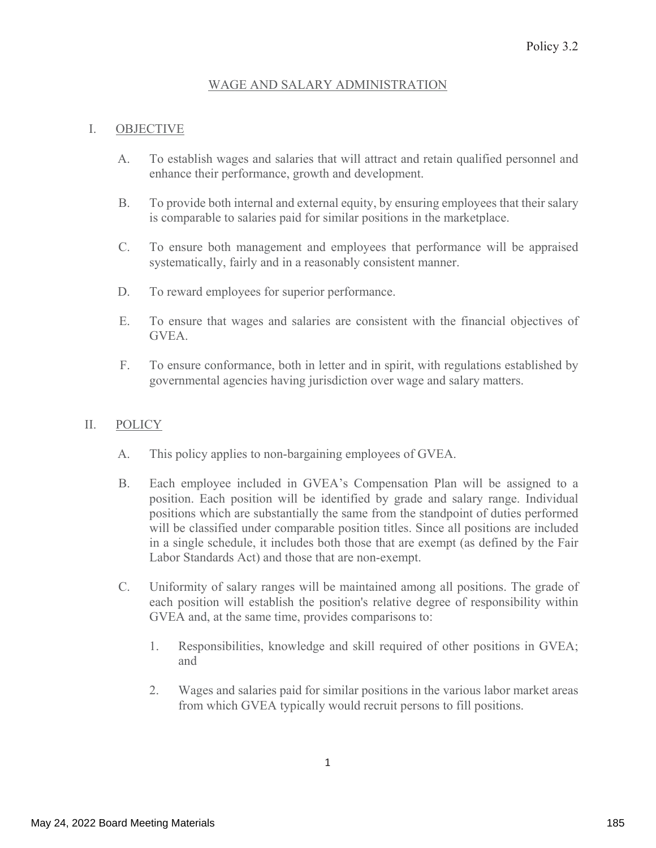### WAGE AND SALARY ADMINISTRATION

#### I. **OBJECTIVE**

- To establish wages and salaries that will attract and retain qualified personnel and  $A.$ enhance their performance, growth and development.
- **B.** To provide both internal and external equity, by ensuring employees that their salary is comparable to salaries paid for similar positions in the marketplace.
- $C.$ To ensure both management and employees that performance will be appraised systematically, fairly and in a reasonably consistent manner.
- $D_{\cdot}$ To reward employees for superior performance.
- E. To ensure that wages and salaries are consistent with the financial objectives of GVEA.
- F. To ensure conformance, both in letter and in spirit, with regulations established by governmental agencies having jurisdiction over wage and salary matters.

#### $\Pi$ . **POLICY**

- A. This policy applies to non-bargaining employees of GVEA.
- **B.** Each employee included in GVEA's Compensation Plan will be assigned to a position. Each position will be identified by grade and salary range. Individual positions which are substantially the same from the standpoint of duties performed will be classified under comparable position titles. Since all positions are included in a single schedule, it includes both those that are exempt (as defined by the Fair Labor Standards Act) and those that are non-exempt.
- $C_{\cdot}$ Uniformity of salary ranges will be maintained among all positions. The grade of each position will establish the position's relative degree of responsibility within GVEA and, at the same time, provides comparisons to:
	- 1. Responsibilities, knowledge and skill required of other positions in GVEA; and
	- $2.$ Wages and salaries paid for similar positions in the various labor market areas from which GVEA typically would recruit persons to fill positions.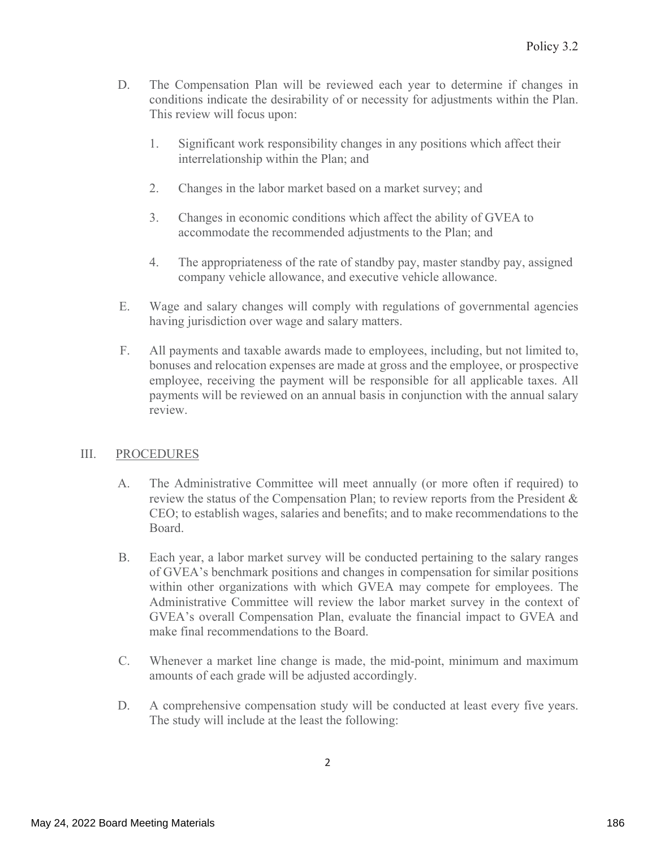- The Compensation Plan will be reviewed each year to determine if changes in D. conditions indicate the desirability of or necessity for adjustments within the Plan. This review will focus upon:
	- 1. Significant work responsibility changes in any positions which affect their interrelationship within the Plan; and
	- 2. Changes in the labor market based on a market survey; and
	- $\overline{3}$ . Changes in economic conditions which affect the ability of GVEA to accommodate the recommended adjustments to the Plan; and
	- 4. The appropriateness of the rate of standby pay, master standby pay, assigned company vehicle allowance, and executive vehicle allowance.
- Ε. Wage and salary changes will comply with regulations of governmental agencies having jurisdiction over wage and salary matters.
- $F_{\cdot}$ All payments and taxable awards made to employees, including, but not limited to, bonuses and relocation expenses are made at gross and the employee, or prospective employee, receiving the payment will be responsible for all applicable taxes. All payments will be reviewed on an annual basis in conjunction with the annual salary review.

#### III. **PROCEDURES**

- The Administrative Committee will meet annually (or more often if required) to A. review the status of the Compensation Plan; to review reports from the President & CEO; to establish wages, salaries and benefits; and to make recommendations to the Board.
- Β. Each year, a labor market survey will be conducted pertaining to the salary ranges of GVEA's benchmark positions and changes in compensation for similar positions within other organizations with which GVEA may compete for employees. The Administrative Committee will review the labor market survey in the context of GVEA's overall Compensation Plan, evaluate the financial impact to GVEA and make final recommendations to the Board.
- $\overline{C}$ . Whenever a market line change is made, the mid-point, minimum and maximum amounts of each grade will be adjusted accordingly.
- D. A comprehensive compensation study will be conducted at least every five years. The study will include at the least the following: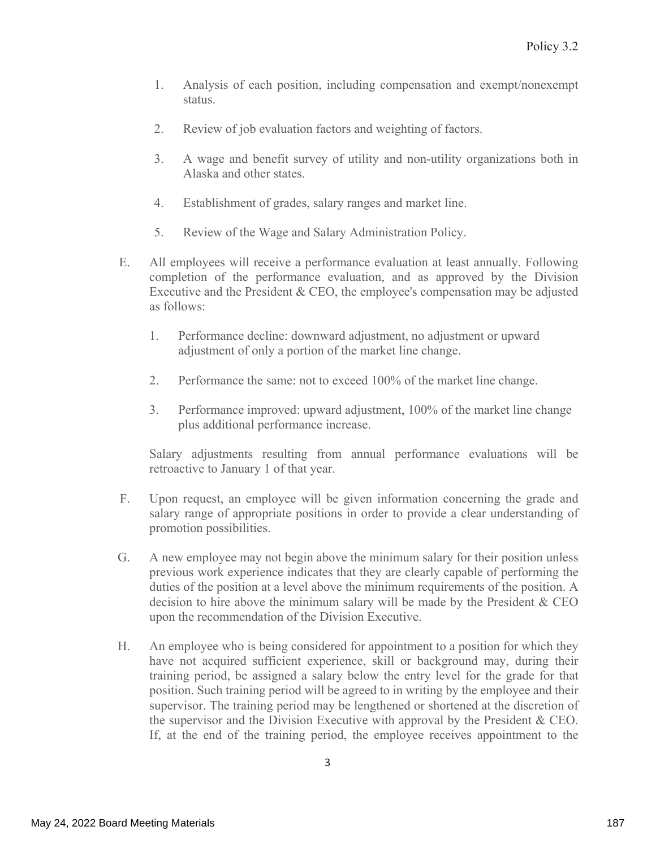- $\mathbf{1}$ . Analysis of each position, including compensation and exempt/nonexempt status.
- $2.$ Review of job evaluation factors and weighting of factors.
- $3.$ A wage and benefit survey of utility and non-utility organizations both in Alaska and other states.
- $\overline{4}$ . Establishment of grades, salary ranges and market line.
- 5. Review of the Wage and Salary Administration Policy.
- Ε. All employees will receive a performance evaluation at least annually. Following completion of the performance evaluation, and as approved by the Division Executive and the President & CEO, the employee's compensation may be adjusted as follows:
	- Performance decline: downward adjustment, no adjustment or upward 1. adjustment of only a portion of the market line change.
	- $2.$ Performance the same: not to exceed 100% of the market line change.
	- Performance improved: upward adjustment, 100% of the market line change  $\mathfrak{Z}$ . plus additional performance increase.

Salary adjustments resulting from annual performance evaluations will be retroactive to January 1 of that year.

- $F<sub>1</sub>$ Upon request, an employee will be given information concerning the grade and salary range of appropriate positions in order to provide a clear understanding of promotion possibilities.
- G. A new employee may not begin above the minimum salary for their position unless previous work experience indicates that they are clearly capable of performing the duties of the position at a level above the minimum requirements of the position. A decision to hire above the minimum salary will be made by the President & CEO upon the recommendation of the Division Executive.
- Н. An employee who is being considered for appointment to a position for which they have not acquired sufficient experience, skill or background may, during their training period, be assigned a salary below the entry level for the grade for that position. Such training period will be agreed to in writing by the employee and their supervisor. The training period may be lengthened or shortened at the discretion of the supervisor and the Division Executive with approval by the President  $&$  CEO. If, at the end of the training period, the employee receives appointment to the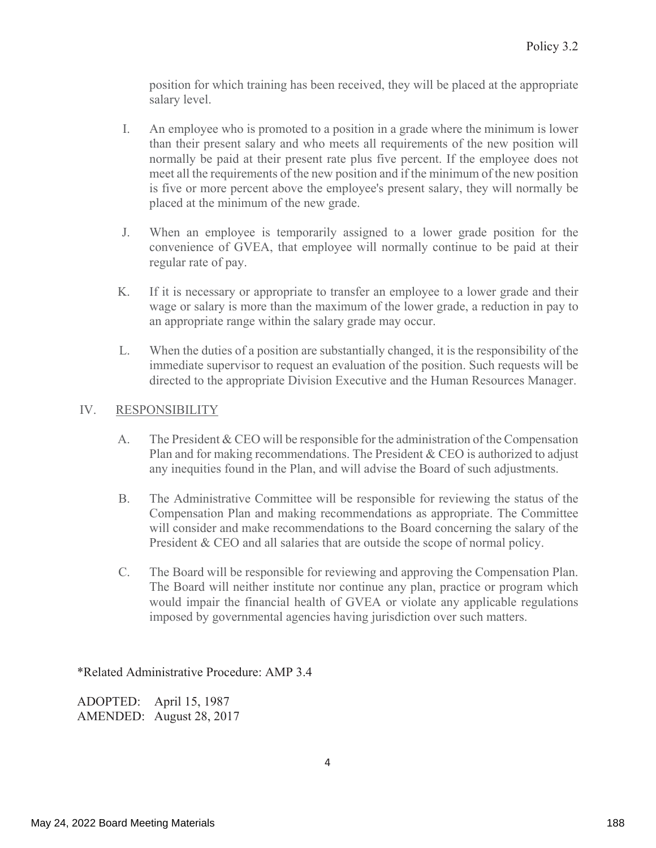position for which training has been received, they will be placed at the appropriate salary level.

- $\mathbf{I}$ . An employee who is promoted to a position in a grade where the minimum is lower than their present salary and who meets all requirements of the new position will normally be paid at their present rate plus five percent. If the employee does not meet all the requirements of the new position and if the minimum of the new position is five or more percent above the employee's present salary, they will normally be placed at the minimum of the new grade.
- J. When an employee is temporarily assigned to a lower grade position for the convenience of GVEA, that employee will normally continue to be paid at their regular rate of pay.
- $K_{-}$ If it is necessary or appropriate to transfer an employee to a lower grade and their wage or salary is more than the maximum of the lower grade, a reduction in pay to an appropriate range within the salary grade may occur.
- L. When the duties of a position are substantially changed, it is the responsibility of the immediate supervisor to request an evaluation of the position. Such requests will be directed to the appropriate Division Executive and the Human Resources Manager.

#### IV. **RESPONSIBILITY**

- $A_{\cdot}$ The President  $&$  CEO will be responsible for the administration of the Compensation Plan and for making recommendations. The President & CEO is authorized to adjust any inequities found in the Plan, and will advise the Board of such adjustments.
- **B.** The Administrative Committee will be responsible for reviewing the status of the Compensation Plan and making recommendations as appropriate. The Committee will consider and make recommendations to the Board concerning the salary of the President & CEO and all salaries that are outside the scope of normal policy.
- $C_{\cdot}$ The Board will be responsible for reviewing and approving the Compensation Plan. The Board will neither institute nor continue any plan, practice or program which would impair the financial health of GVEA or violate any applicable regulations imposed by governmental agencies having jurisdiction over such matters.

\*Related Administrative Procedure: AMP 3.4

April 15, 1987 ADOPTED: AMENDED: August 28, 2017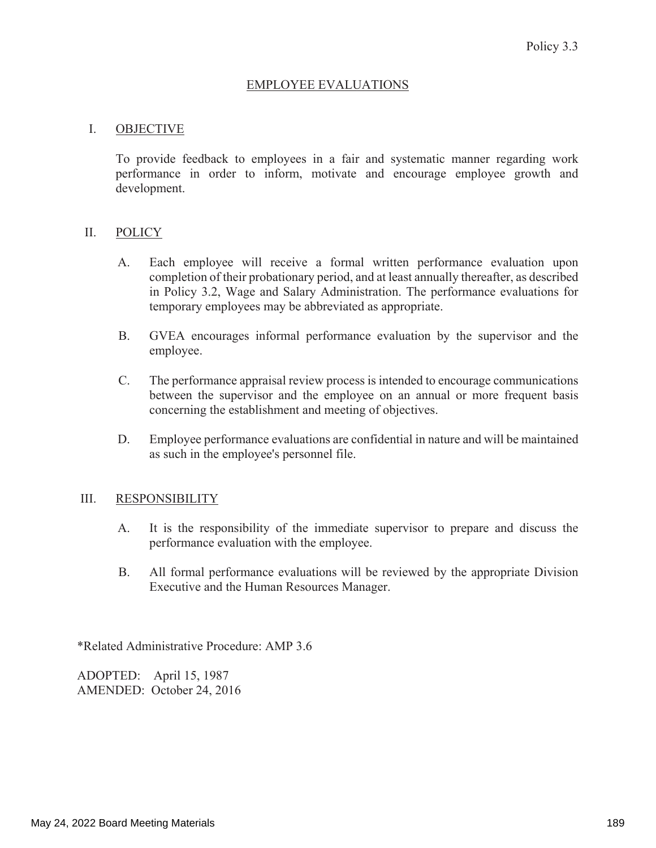#### **EMPLOYEE EVALUATIONS**

#### $\mathbf{I}$ . **OBJECTIVE**

To provide feedback to employees in a fair and systematic manner regarding work performance in order to inform, motivate and encourage employee growth and development.

#### $\Pi$ . **POLICY**

- Each employee will receive a formal written performance evaluation upon А. completion of their probationary period, and at least annually thereafter, as described in Policy 3.2, Wage and Salary Administration. The performance evaluations for temporary employees may be abbreviated as appropriate.
- **B.** GVEA encourages informal performance evaluation by the supervisor and the employee.
- $C_{\cdot}$ The performance appraisal review process is intended to encourage communications between the supervisor and the employee on an annual or more frequent basis concerning the establishment and meeting of objectives.
- D. Employee performance evaluations are confidential in nature and will be maintained as such in the employee's personnel file.

#### III. **RESPONSIBILITY**

- A. It is the responsibility of the immediate supervisor to prepare and discuss the performance evaluation with the employee.
- **B.** All formal performance evaluations will be reviewed by the appropriate Division Executive and the Human Resources Manager.

\*Related Administrative Procedure: AMP 3.6

ADOPTED: April 15, 1987 AMENDED: October 24, 2016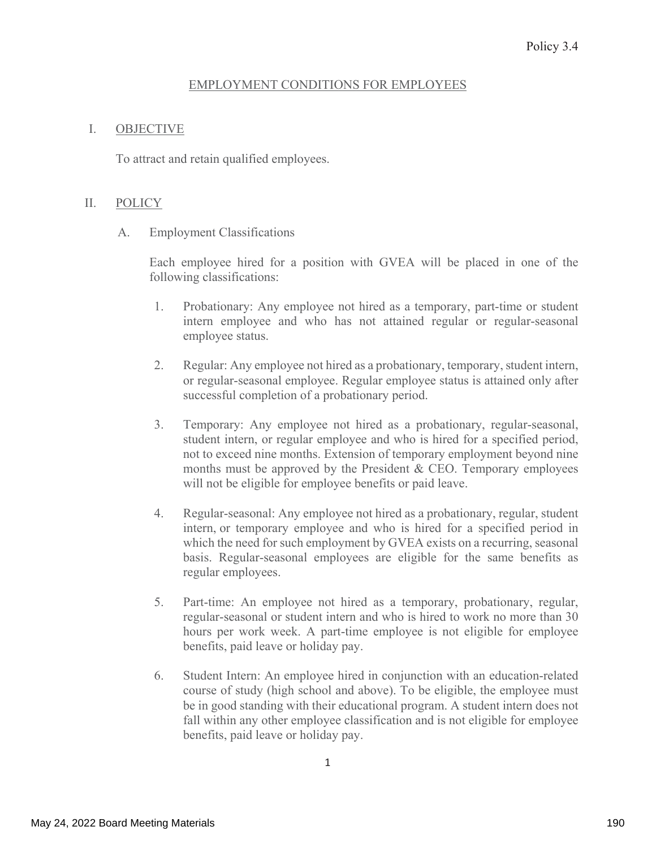#### **EMPLOYMENT CONDITIONS FOR EMPLOYEES**

#### I. **OBJECTIVE**

To attract and retain qualified employees.

#### $\prod$ . **POLICY**

 $A_{\cdot}$ **Employment Classifications** 

> Each employee hired for a position with GVEA will be placed in one of the following classifications:

- 1. Probationary: Any employee not hired as a temporary, part-time or student intern employee and who has not attained regular or regular-seasonal employee status.
- $2.$ Regular: Any employee not hired as a probationary, temporary, student intern, or regular-seasonal employee. Regular employee status is attained only after successful completion of a probationary period.
- $3.$ Temporary: Any employee not hired as a probationary, regular-seasonal, student intern, or regular employee and who is hired for a specified period, not to exceed nine months. Extension of temporary employment beyond nine months must be approved by the President & CEO. Temporary employees will not be eligible for employee benefits or paid leave.
- $4.$ Regular-seasonal: Any employee not hired as a probationary, regular, student intern, or temporary employee and who is hired for a specified period in which the need for such employment by GVEA exists on a recurring, seasonal basis. Regular-seasonal employees are eligible for the same benefits as regular employees.
- 5. Part-time: An employee not hired as a temporary, probationary, regular, regular-seasonal or student intern and who is hired to work no more than 30 hours per work week. A part-time employee is not eligible for employee benefits, paid leave or holiday pay.
- 6. Student Intern: An employee hired in conjunction with an education-related course of study (high school and above). To be eligible, the employee must be in good standing with their educational program. A student intern does not fall within any other employee classification and is not eligible for employee benefits, paid leave or holiday pay.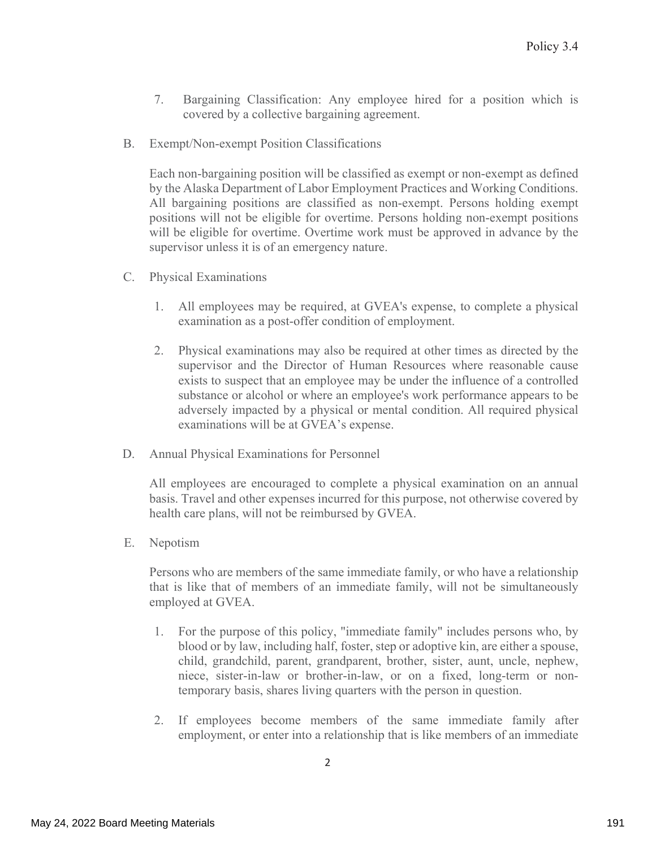- 7. Bargaining Classification: Any employee hired for a position which is covered by a collective bargaining agreement.
- $B_{\cdot}$ Exempt/Non-exempt Position Classifications

Each non-bargaining position will be classified as exempt or non-exempt as defined by the Alaska Department of Labor Employment Practices and Working Conditions. All bargaining positions are classified as non-exempt. Persons holding exempt positions will not be eligible for overtime. Persons holding non-exempt positions will be eligible for overtime. Overtime work must be approved in advance by the supervisor unless it is of an emergency nature.

- C. Physical Examinations
	- 1. All employees may be required, at GVEA's expense, to complete a physical examination as a post-offer condition of employment.
	- $2.$ Physical examinations may also be required at other times as directed by the supervisor and the Director of Human Resources where reasonable cause exists to suspect that an employee may be under the influence of a controlled substance or alcohol or where an employee's work performance appears to be adversely impacted by a physical or mental condition. All required physical examinations will be at GVEA's expense.
- **Annual Physical Examinations for Personnel** D.

All employees are encouraged to complete a physical examination on an annual basis. Travel and other expenses incurred for this purpose, not otherwise covered by health care plans, will not be reimbursed by GVEA.

E. Nepotism

> Persons who are members of the same immediate family, or who have a relationship that is like that of members of an immediate family, will not be simultaneously employed at GVEA.

- For the purpose of this policy, "immediate family" includes persons who, by 1. blood or by law, including half, foster, step or adoptive kin, are either a spouse, child, grandchild, parent, grandparent, brother, sister, aunt, uncle, nephew, niece, sister-in-law or brother-in-law, or on a fixed, long-term or nontemporary basis, shares living quarters with the person in question.
- If employees become members of the same immediate family after 2. employment, or enter into a relationship that is like members of an immediate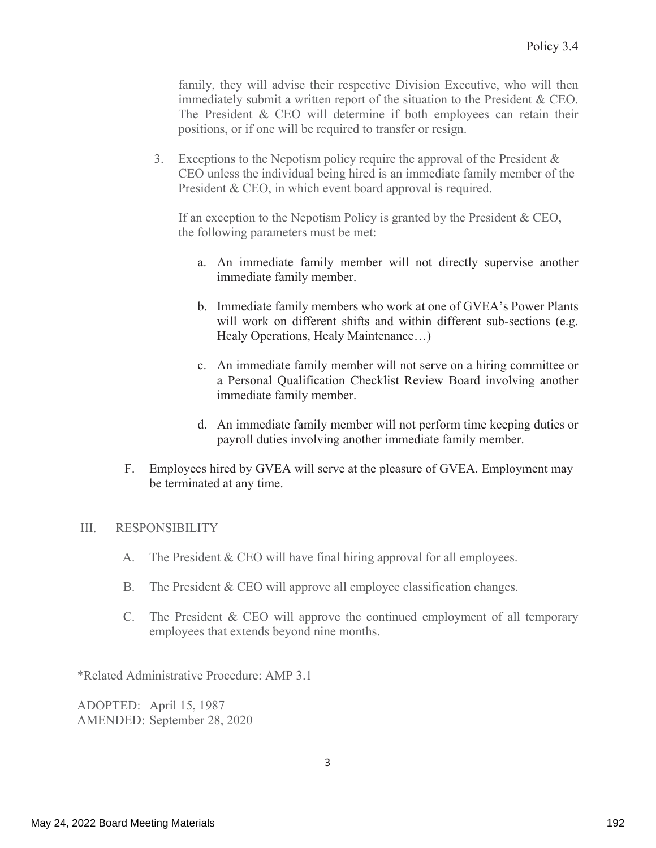family, they will advise their respective Division Executive, who will then immediately submit a written report of the situation to the President  $&$  CEO. The President & CEO will determine if both employees can retain their positions, or if one will be required to transfer or resign.

Exceptions to the Nepotism policy require the approval of the President  $\&$  $3.$ CEO unless the individual being hired is an immediate family member of the President & CEO, in which event board approval is required.

If an exception to the Nepotism Policy is granted by the President & CEO, the following parameters must be met:

- a. An immediate family member will not directly supervise another immediate family member.
- b. Immediate family members who work at one of GVEA's Power Plants will work on different shifts and within different sub-sections (e.g. Healy Operations, Healy Maintenance...)
- c. An immediate family member will not serve on a hiring committee or a Personal Qualification Checklist Review Board involving another immediate family member.
- d. An immediate family member will not perform time keeping duties or payroll duties involving another immediate family member.
- F. Employees hired by GVEA will serve at the pleasure of GVEA. Employment may be terminated at any time.

#### III. **RESPONSIBILITY**

- $A<sub>1</sub>$ The President & CEO will have final hiring approval for all employees.
- The President & CEO will approve all employee classification changes.  $B_{\cdot}$
- C. The President & CEO will approve the continued employment of all temporary employees that extends beyond nine months.

\*Related Administrative Procedure: AMP 3.1

ADOPTED: April 15, 1987 AMENDED: September 28, 2020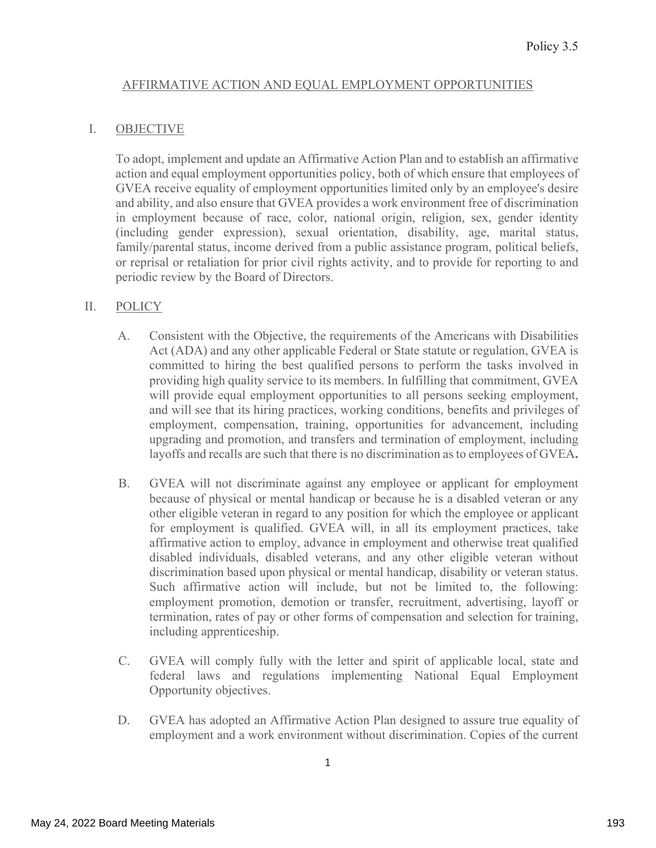#### AFFIRMATIVE ACTION AND EQUAL EMPLOYMENT OPPORTUNITIES

#### I. **OBJECTIVE**

To adopt, implement and update an Affirmative Action Plan and to establish an affirmative action and equal employment opportunities policy, both of which ensure that employees of GVEA receive equality of employment opportunities limited only by an employee's desire and ability, and also ensure that GVEA provides a work environment free of discrimination in employment because of race, color, national origin, religion, sex, gender identity (including gender expression), sexual orientation, disability, age, marital status, family/parental status, income derived from a public assistance program, political beliefs, or reprisal or retaliation for prior civil rights activity, and to provide for reporting to and periodic review by the Board of Directors.

#### $II.$ **POLICY**

- Consistent with the Objective, the requirements of the Americans with Disabilities A. Act (ADA) and any other applicable Federal or State statute or regulation, GVEA is committed to hiring the best qualified persons to perform the tasks involved in providing high quality service to its members. In fulfilling that commitment, GVEA will provide equal employment opportunities to all persons seeking employment, and will see that its hiring practices, working conditions, benefits and privileges of employment, compensation, training, opportunities for advancement, including upgrading and promotion, and transfers and termination of employment, including layoffs and recalls are such that there is no discrimination as to employees of GVEA.
- **B.** GVEA will not discriminate against any employee or applicant for employment because of physical or mental handicap or because he is a disabled veteran or any other eligible veteran in regard to any position for which the employee or applicant for employment is qualified. GVEA will, in all its employment practices, take affirmative action to employ, advance in employment and otherwise treat qualified disabled individuals, disabled veterans, and any other eligible veteran without discrimination based upon physical or mental handicap, disability or veteran status. Such affirmative action will include, but not be limited to, the following: employment promotion, demotion or transfer, recruitment, advertising, layoff or termination, rates of pay or other forms of compensation and selection for training, including apprenticeship.
- $C_{\cdot}$ GVEA will comply fully with the letter and spirit of applicable local, state and federal laws and regulations implementing National Equal Employment Opportunity objectives.
- GVEA has adopted an Affirmative Action Plan designed to assure true equality of D. employment and a work environment without discrimination. Copies of the current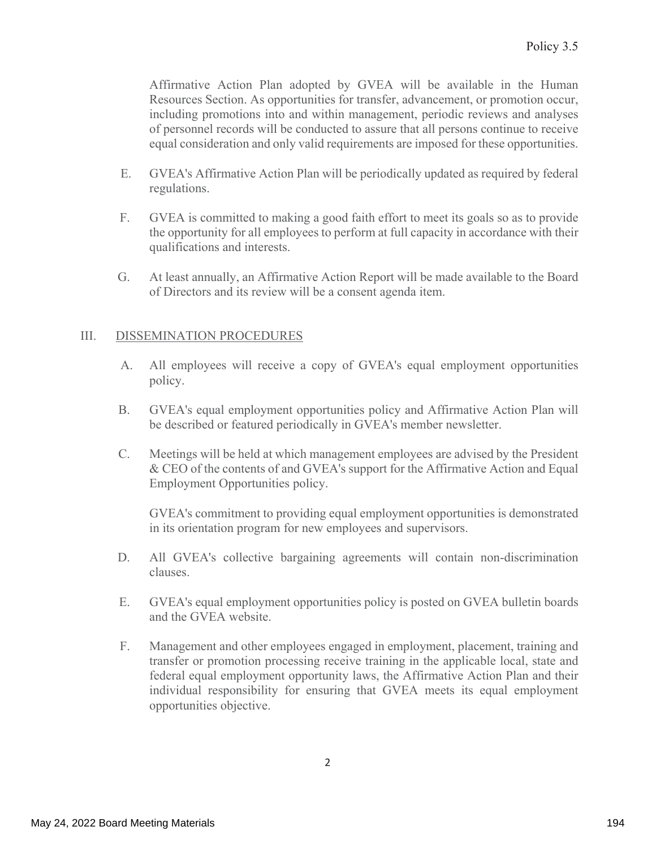Affirmative Action Plan adopted by GVEA will be available in the Human Resources Section. As opportunities for transfer, advancement, or promotion occur, including promotions into and within management, periodic reviews and analyses of personnel records will be conducted to assure that all persons continue to receive equal consideration and only valid requirements are imposed for these opportunities.

- $E_{\rm{L}}$ GVEA's Affirmative Action Plan will be periodically updated as required by federal regulations.
- $F.$ GVEA is committed to making a good faith effort to meet its goals so as to provide the opportunity for all employees to perform at full capacity in accordance with their qualifications and interests.
- G. At least annually, an Affirmative Action Report will be made available to the Board of Directors and its review will be a consent agenda item.

#### III. DISSEMINATION PROCEDURES

- $A<sub>1</sub>$ All employees will receive a copy of GVEA's equal employment opportunities policy.
- **B.** GVEA's equal employment opportunities policy and Affirmative Action Plan will be described or featured periodically in GVEA's member newsletter.
- $\mathcal{C}$ . Meetings will be held at which management employees are advised by the President & CEO of the contents of and GVEA's support for the Affirmative Action and Equal Employment Opportunities policy.

GVEA's commitment to providing equal employment opportunities is demonstrated in its orientation program for new employees and supervisors.

- D. All GVEA's collective bargaining agreements will contain non-discrimination clauses.
- E. GVEA's equal employment opportunities policy is posted on GVEA bulletin boards and the GVEA website.
- $F_{\cdot}$ Management and other employees engaged in employment, placement, training and transfer or promotion processing receive training in the applicable local, state and federal equal employment opportunity laws, the Affirmative Action Plan and their individual responsibility for ensuring that GVEA meets its equal employment opportunities objective.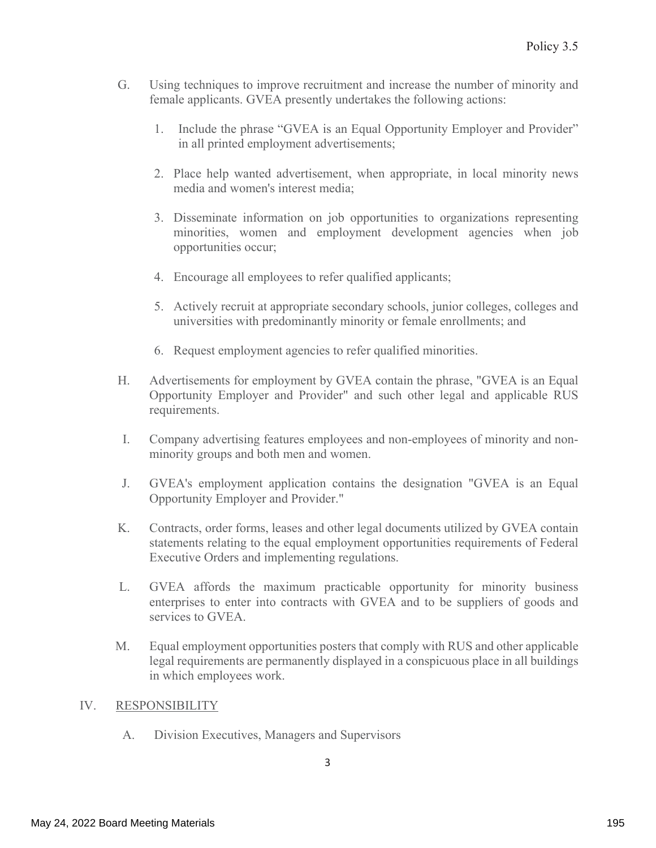- Using techniques to improve recruitment and increase the number of minority and  $G<sub>r</sub>$ female applicants. GVEA presently undertakes the following actions:
	- 1. Include the phrase "GVEA is an Equal Opportunity Employer and Provider" in all printed employment advertisements;
	- 2. Place help wanted advertisement, when appropriate, in local minority news media and women's interest media;
	- 3. Disseminate information on job opportunities to organizations representing minorities, women and employment development agencies when job opportunities occur;
	- 4. Encourage all employees to refer qualified applicants;
	- 5. Actively recruit at appropriate secondary schools, junior colleges, colleges and universities with predominantly minority or female enrollments; and
	- 6. Request employment agencies to refer qualified minorities.
- Advertisements for employment by GVEA contain the phrase, "GVEA is an Equal Н. Opportunity Employer and Provider" and such other legal and applicable RUS requirements.
- L. Company advertising features employees and non-employees of minority and nonminority groups and both men and women.
- J. GVEA's employment application contains the designation "GVEA is an Equal Opportunity Employer and Provider."
- Κ. Contracts, order forms, leases and other legal documents utilized by GVEA contain statements relating to the equal employment opportunities requirements of Federal Executive Orders and implementing regulations.
- GVEA affords the maximum practicable opportunity for minority business L. enterprises to enter into contracts with GVEA and to be suppliers of goods and services to GVEA.
- М. Equal employment opportunities posters that comply with RUS and other applicable legal requirements are permanently displayed in a conspicuous place in all buildings in which employees work.

#### IV. **RESPONSIBILITY**

 $A<sub>1</sub>$ Division Executives, Managers and Supervisors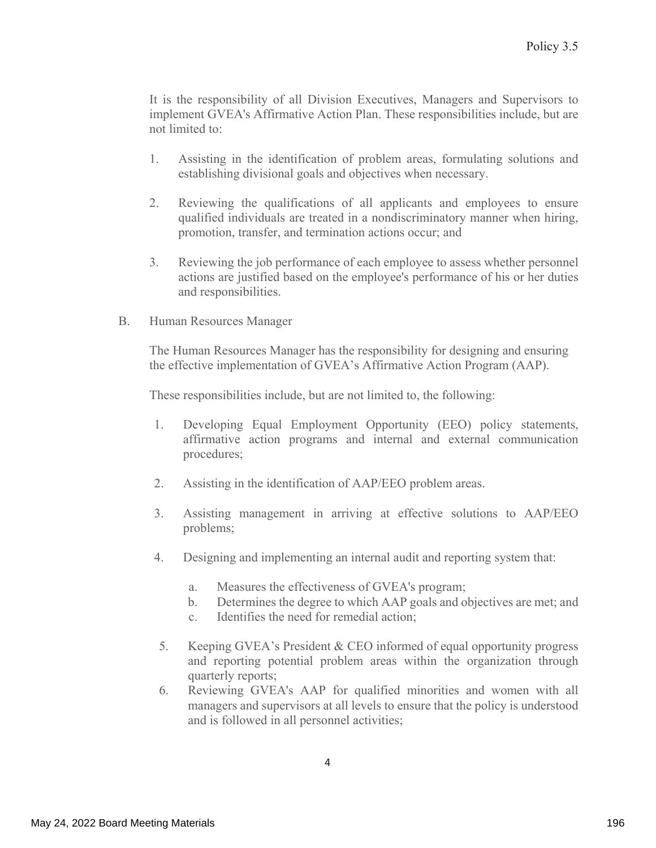It is the responsibility of all Division Executives, Managers and Supervisors to implement GVEA's Affirmative Action Plan. These responsibilities include, but are not limited to:

- $1_{\cdot}$ Assisting in the identification of problem areas, formulating solutions and establishing divisional goals and objectives when necessary.
- $2.$ Reviewing the qualifications of all applicants and employees to ensure qualified individuals are treated in a nondiscriminatory manner when hiring, promotion, transfer, and termination actions occur; and
- 3. Reviewing the job performance of each employee to assess whether personnel actions are justified based on the employee's performance of his or her duties and responsibilities.
- $B<sub>r</sub>$ Human Resources Manager

The Human Resources Manager has the responsibility for designing and ensuring the effective implementation of GVEA's Affirmative Action Program (AAP).

These responsibilities include, but are not limited to, the following:

- Developing Equal Employment Opportunity (EEO) policy statements, 1. affirmative action programs and internal and external communication procedures;
- $2.$ Assisting in the identification of AAP/EEO problem areas.
- $\overline{3}$ . Assisting management in arriving at effective solutions to AAP/EEO problems;
- 4. Designing and implementing an internal audit and reporting system that:
	- Measures the effectiveness of GVEA's program; a.
	- b. Determines the degree to which AAP goals and objectives are met; and
	- Identifies the need for remedial action:  $\mathbf{C}$ .
- 5. Keeping GVEA's President & CEO informed of equal opportunity progress and reporting potential problem areas within the organization through quarterly reports;
- 6. Reviewing GVEA's AAP for qualified minorities and women with all managers and supervisors at all levels to ensure that the policy is understood and is followed in all personnel activities;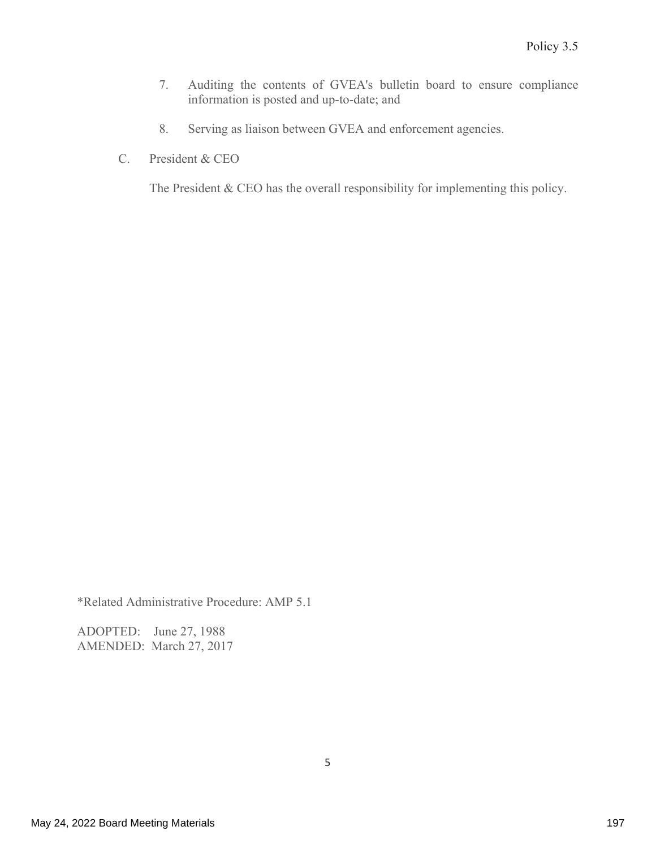- 7. Auditing the contents of GVEA's bulletin board to ensure compliance information is posted and up-to-date; and
- 8. Serving as liaison between GVEA and enforcement agencies.
- C. President & CEO

The President & CEO has the overall responsibility for implementing this policy.

\*Related Administrative Procedure: AMP 5.1

ADOPTED: June 27, 1988 AMENDED: March 27, 2017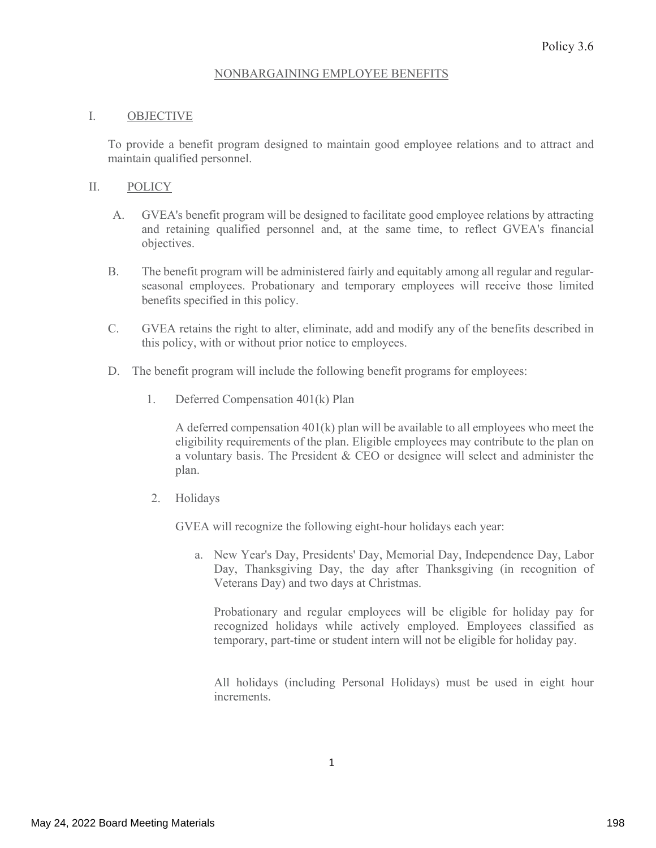#### NONBARGAINING EMPLOYEE BENEFITS

#### I. **OBJECTIVE**

To provide a benefit program designed to maintain good employee relations and to attract and maintain qualified personnel.

#### $\prod$ . **POLICY**

- GVEA's benefit program will be designed to facilitate good employee relations by attracting  $A_{\cdot}$ and retaining qualified personnel and, at the same time, to reflect GVEA's financial objectives.
- The benefit program will be administered fairly and equitably among all regular and regular-**B.** seasonal employees. Probationary and temporary employees will receive those limited benefits specified in this policy.
- $C_{\cdot}$ GVEA retains the right to alter, eliminate, add and modify any of the benefits described in this policy, with or without prior notice to employees.
- D. The benefit program will include the following benefit programs for employees:
	- 1. Deferred Compensation 401(k) Plan

A deferred compensation  $401(k)$  plan will be available to all employees who meet the eligibility requirements of the plan. Eligible employees may contribute to the plan on a voluntary basis. The President & CEO or designee will select and administer the plan.

 $2.$ Holidays

GVEA will recognize the following eight-hour holidays each year:

a. New Year's Day, Presidents' Day, Memorial Day, Independence Day, Labor Day, Thanksgiving Day, the day after Thanksgiving (in recognition of Veterans Day) and two days at Christmas.

Probationary and regular employees will be eligible for holiday pay for recognized holidays while actively employed. Employees classified as temporary, part-time or student intern will not be eligible for holiday pay.

All holidays (including Personal Holidays) must be used in eight hour increments.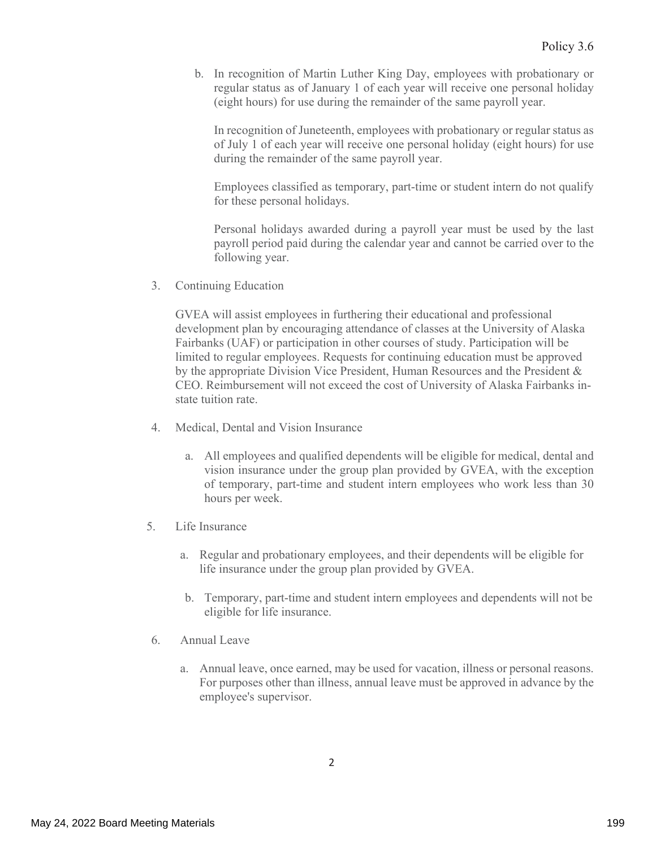b. In recognition of Martin Luther King Day, employees with probationary or regular status as of January 1 of each year will receive one personal holiday (eight hours) for use during the remainder of the same payroll year.

In recognition of Juneteenth, employees with probationary or regular status as of July 1 of each year will receive one personal holiday (eight hours) for use during the remainder of the same payroll year.

Employees classified as temporary, part-time or student intern do not qualify for these personal holidays.

Personal holidays awarded during a payroll year must be used by the last payroll period paid during the calendar year and cannot be carried over to the following year.

 $3.$ Continuing Education

> GVEA will assist employees in furthering their educational and professional development plan by encouraging attendance of classes at the University of Alaska Fairbanks (UAF) or participation in other courses of study. Participation will be limited to regular employees. Requests for continuing education must be approved by the appropriate Division Vice President, Human Resources and the President & CEO. Reimbursement will not exceed the cost of University of Alaska Fairbanks instate tuition rate.

- Medical, Dental and Vision Insurance  $4_{-}$ 
	- a. All employees and qualified dependents will be eligible for medical, dental and vision insurance under the group plan provided by GVEA, with the exception of temporary, part-time and student intern employees who work less than 30 hours per week.
- Life Insurance  $5<sub>1</sub>$ 
	- a. Regular and probationary employees, and their dependents will be eligible for life insurance under the group plan provided by GVEA.
	- b. Temporary, part-time and student intern employees and dependents will not be eligible for life insurance.
- Annual Leave 6.
	- a. Annual leave, once earned, may be used for vacation, illness or personal reasons. For purposes other than illness, annual leave must be approved in advance by the employee's supervisor.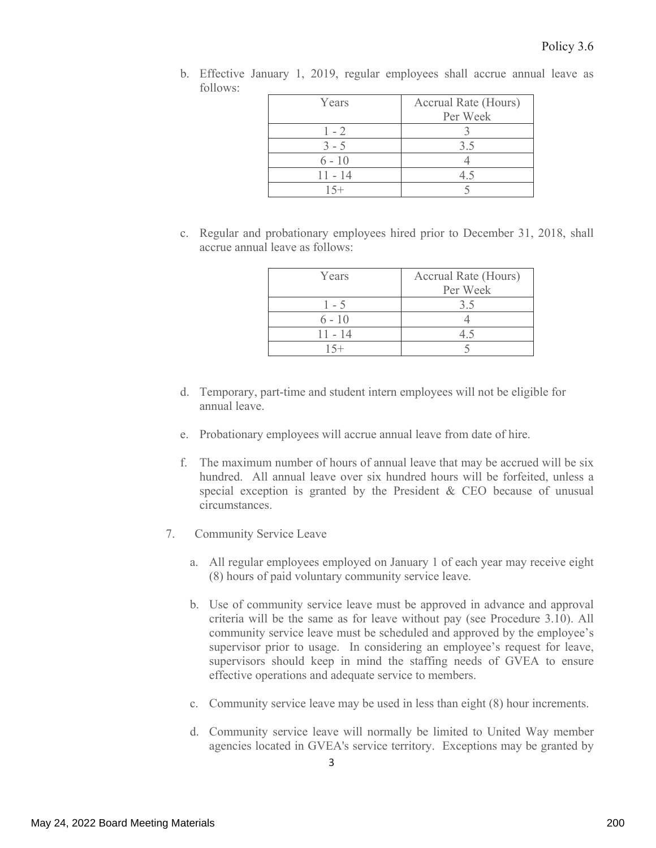b. Effective January 1, 2019, regular employees shall accrue annual leave as follows:

| Years     | Accrual Rate (Hours) |
|-----------|----------------------|
|           | Per Week             |
| $1 - 2$   |                      |
| $3 - 5$   | 3.5                  |
| $6 - 10$  |                      |
| $11 - 14$ | 45                   |
| $5+$      |                      |

c. Regular and probationary employees hired prior to December 31, 2018, shall accrue annual leave as follows:

| Years     | Accrual Rate (Hours) |  |  |
|-----------|----------------------|--|--|
|           | Per Week             |  |  |
| $1 - 5$   | 3.5                  |  |  |
| $6 - 10$  |                      |  |  |
| $11 - 14$ |                      |  |  |
|           |                      |  |  |

- d. Temporary, part-time and student intern employees will not be eligible for annual leave.
- e. Probationary employees will accrue annual leave from date of hire.
- f. The maximum number of hours of annual leave that may be accrued will be six hundred. All annual leave over six hundred hours will be forfeited, unless a special exception is granted by the President  $&$  CEO because of unusual circumstances.
- **Community Service Leave** 7.
	- a. All regular employees employed on January 1 of each year may receive eight (8) hours of paid voluntary community service leave.
	- b. Use of community service leave must be approved in advance and approval criteria will be the same as for leave without pay (see Procedure 3.10). All community service leave must be scheduled and approved by the employee's supervisor prior to usage. In considering an employee's request for leave, supervisors should keep in mind the staffing needs of GVEA to ensure effective operations and adequate service to members.
	- c. Community service leave may be used in less than eight (8) hour increments.
	- d. Community service leave will normally be limited to United Way member agencies located in GVEA's service territory. Exceptions may be granted by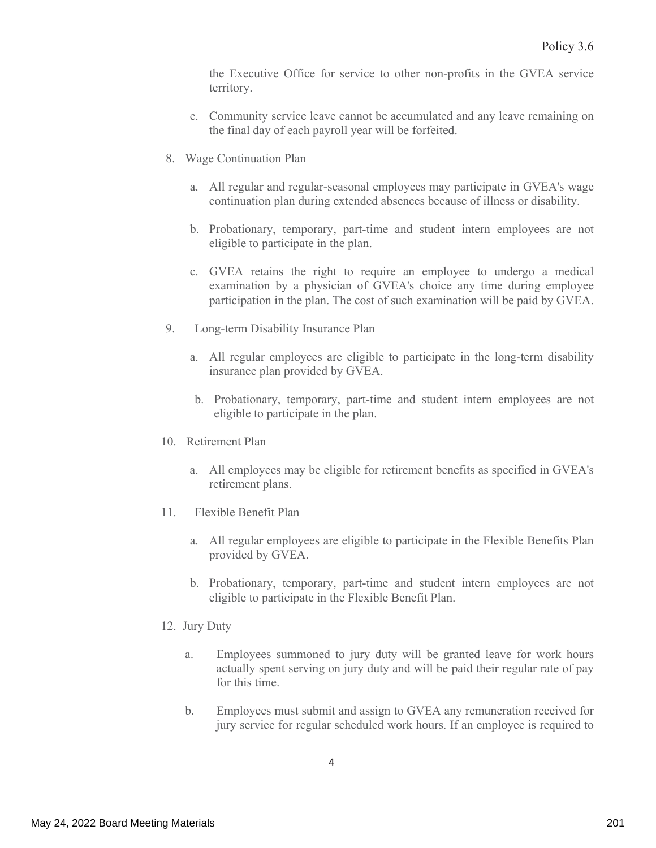the Executive Office for service to other non-profits in the GVEA service territory.

- e. Community service leave cannot be accumulated and any leave remaining on the final day of each payroll year will be forfeited.
- 8. Wage Continuation Plan
	- a. All regular and regular-seasonal employees may participate in GVEA's wage continuation plan during extended absences because of illness or disability.
	- b. Probationary, temporary, part-time and student intern employees are not eligible to participate in the plan.
	- c. GVEA retains the right to require an employee to undergo a medical examination by a physician of GVEA's choice any time during employee participation in the plan. The cost of such examination will be paid by GVEA.
- 9. Long-term Disability Insurance Plan
	- a. All regular employees are eligible to participate in the long-term disability insurance plan provided by GVEA.
	- b. Probationary, temporary, part-time and student intern employees are not eligible to participate in the plan.
- 10. Retirement Plan
	- a. All employees may be eligible for retirement benefits as specified in GVEA's retirement plans.
- $11.$ Flexible Benefit Plan
	- a. All regular employees are eligible to participate in the Flexible Benefits Plan provided by GVEA.
	- b. Probationary, temporary, part-time and student intern employees are not eligible to participate in the Flexible Benefit Plan.
- 12. Jury Duty
	- Employees summoned to jury duty will be granted leave for work hours  $a.$ actually spent serving on jury duty and will be paid their regular rate of pay for this time.
	- Employees must submit and assign to GVEA any remuneration received for b. jury service for regular scheduled work hours. If an employee is required to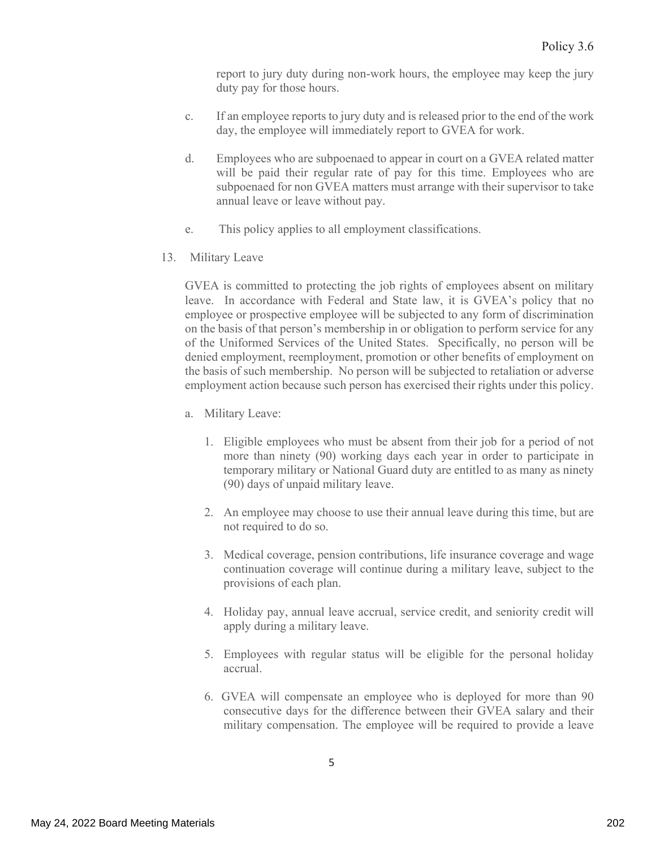report to jury duty during non-work hours, the employee may keep the jury duty pay for those hours.

- $\mathbf{c}$ . If an employee reports to jury duty and is released prior to the end of the work day, the employee will immediately report to GVEA for work.
- $d_{\cdot}$ Employees who are subpoenaed to appear in court on a GVEA related matter will be paid their regular rate of pay for this time. Employees who are subpoenaed for non GVEA matters must arrange with their supervisor to take annual leave or leave without pay.
- This policy applies to all employment classifications. e.
- 13. **Military Leave**

GVEA is committed to protecting the job rights of employees absent on military leave. In accordance with Federal and State law, it is GVEA's policy that no employee or prospective employee will be subjected to any form of discrimination on the basis of that person's membership in or obligation to perform service for any of the Uniformed Services of the United States. Specifically, no person will be denied employment, reemployment, promotion or other benefits of employment on the basis of such membership. No person will be subjected to retaliation or adverse employment action because such person has exercised their rights under this policy.

- a. Military Leave:
	- 1. Eligible employees who must be absent from their job for a period of not more than ninety (90) working days each year in order to participate in temporary military or National Guard duty are entitled to as many as ninety (90) days of unpaid military leave.
	- 2. An employee may choose to use their annual leave during this time, but are not required to do so.
	- 3. Medical coverage, pension contributions, life insurance coverage and wage continuation coverage will continue during a military leave, subject to the provisions of each plan.
	- 4. Holiday pay, annual leave accrual, service credit, and seniority credit will apply during a military leave.
	- 5. Employees with regular status will be eligible for the personal holiday accrual.
	- 6. GVEA will compensate an employee who is deployed for more than 90 consecutive days for the difference between their GVEA salary and their military compensation. The employee will be required to provide a leave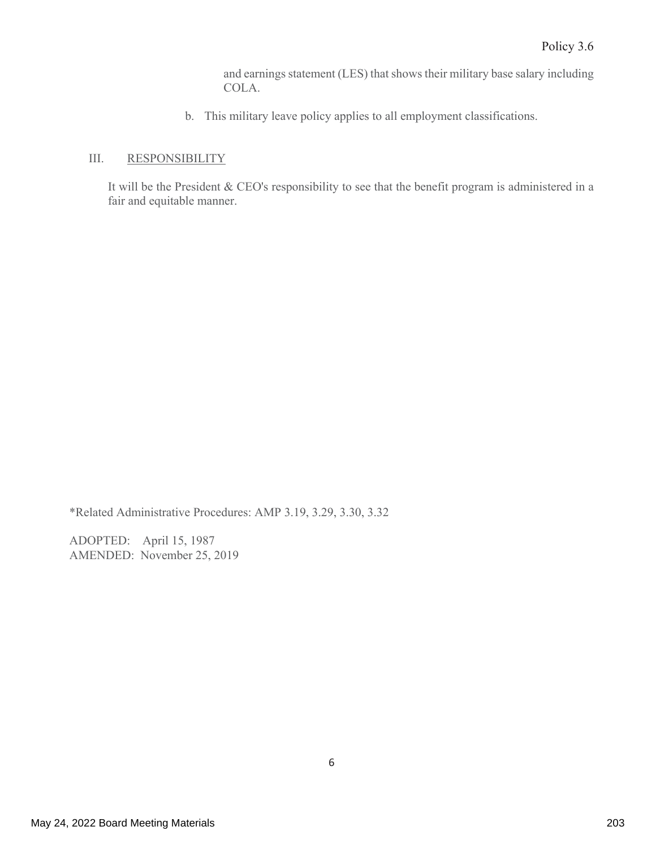and earnings statement (LES) that shows their military base salary including COLA.

b. This military leave policy applies to all employment classifications.

#### III. **RESPONSIBILITY**

It will be the President & CEO's responsibility to see that the benefit program is administered in a fair and equitable manner.

\*Related Administrative Procedures: AMP 3.19, 3.29, 3.30, 3.32

ADOPTED: April 15, 1987 AMENDED: November 25, 2019